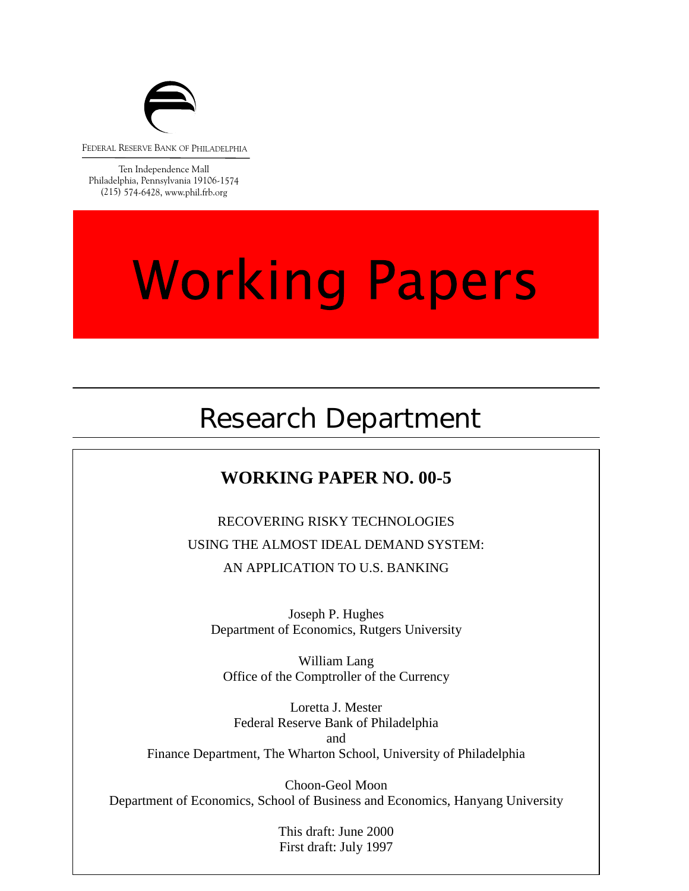

FEDERAL RESERVE BANK OF PHILADELPHIA

Ten Independence Mall Philadelphia, Pennsylvania 19106-1574 (215) 574-6428, www.phil.frb.org

# **Working Papers**

## Research Department

## **WORKING PAPER NO. 00-5**

RECOVERING RISKY TECHNOLOGIES USING THE ALMOST IDEAL DEMAND SYSTEM: AN APPLICATION TO U.S. BANKING

Joseph P. Hughes Department of Economics, Rutgers University

Office of the Comptroller of the Currency William Lang

Loretta J. Mester Federal Reserve Bank of Philadelphia and Finance Department, The Wharton School, University of Philadelphia

Choon-Geol Moon Department of Economics, School of Business and Economics, Hanyang University

> This draft: June 2000 First draft: July 1997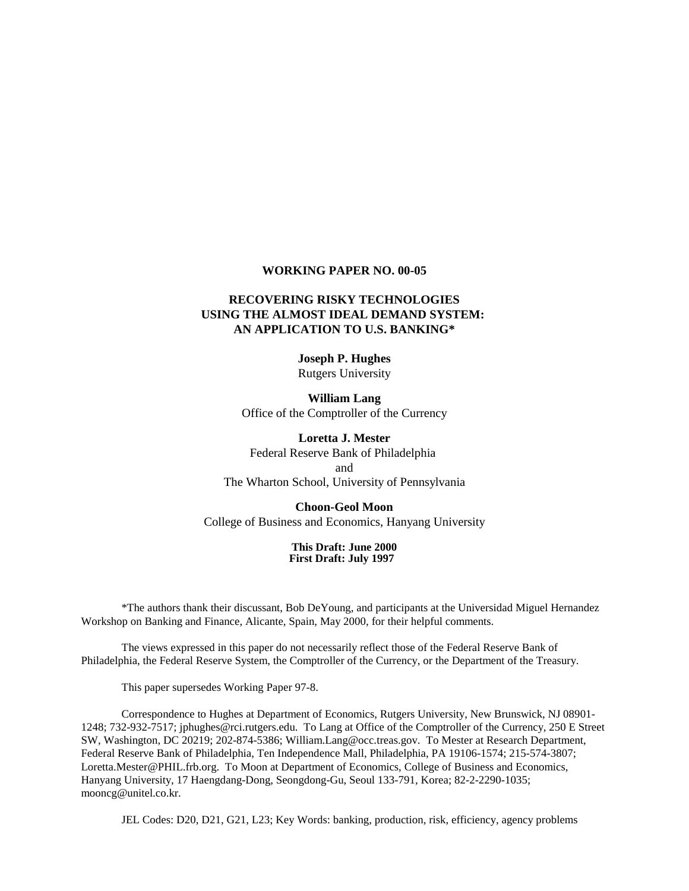#### **WORKING PAPER NO. 00-05**

#### **RECOVERING RISKY TECHNOLOGIES USING THE ALMOST IDEAL DEMAND SYSTEM: AN APPLICATION TO U.S. BANKING\***

**Joseph P. Hughes** Rutgers University

**William Lang** Office of the Comptroller of the Currency

**Loretta J. Mester** Federal Reserve Bank of Philadelphia and The Wharton School, University of Pennsylvania

**Choon-Geol Moon** College of Business and Economics, Hanyang University

> **This Draft: June 2000 First Draft: July 1997**

\*The authors thank their discussant, Bob DeYoung, and participants at the Universidad Miguel Hernandez Workshop on Banking and Finance, Alicante, Spain, May 2000, for their helpful comments.

The views expressed in this paper do not necessarily reflect those of the Federal Reserve Bank of Philadelphia, the Federal Reserve System, the Comptroller of the Currency, or the Department of the Treasury.

This paper supersedes Working Paper 97-8.

Correspondence to Hughes at Department of Economics, Rutgers University, New Brunswick, NJ 08901- 1248; 732-932-7517; jphughes@rci.rutgers.edu. To Lang at Office of the Comptroller of the Currency, 250 E Street SW, Washington, DC 20219; 202-874-5386; William.Lang@occ.treas.gov. To Mester at Research Department, Federal Reserve Bank of Philadelphia, Ten Independence Mall, Philadelphia, PA 19106-1574; 215-574-3807; Loretta.Mester@PHIL.frb.org. To Moon at Department of Economics, College of Business and Economics, Hanyang University, 17 Haengdang-Dong, Seongdong-Gu, Seoul 133-791, Korea; 82-2-2290-1035; mooncg@unitel.co.kr.

JEL Codes: D20, D21, G21, L23; Key Words: banking, production, risk, efficiency, agency problems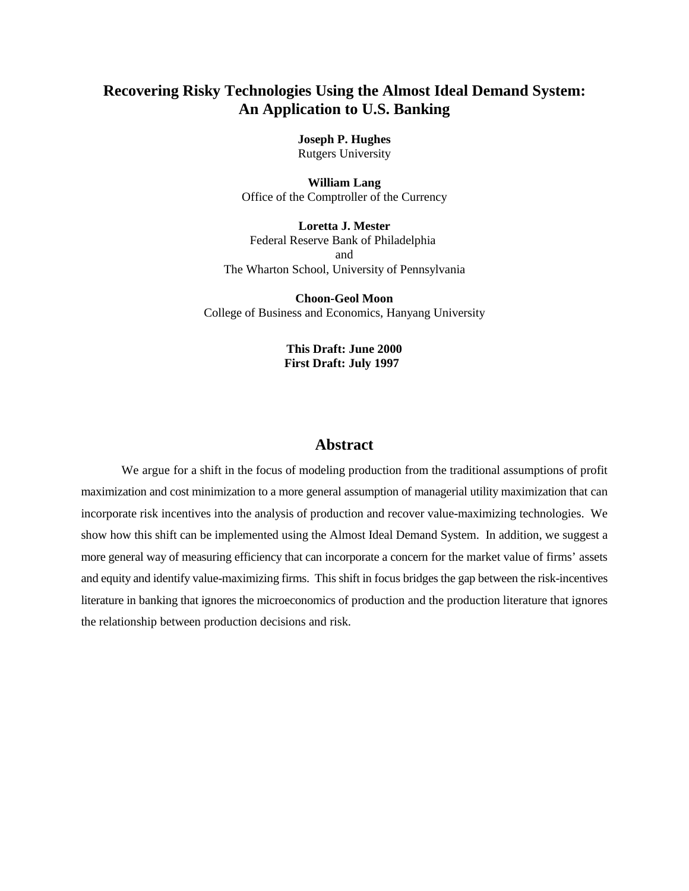#### **Recovering Risky Technologies Using the Almost Ideal Demand System: An Application to U.S. Banking**

**Joseph P. Hughes** Rutgers University

**William Lang** Office of the Comptroller of the Currency

**Loretta J. Mester** Federal Reserve Bank of Philadelphia and The Wharton School, University of Pennsylvania

**Choon-Geol Moon** College of Business and Economics, Hanyang University

> **This Draft: June 2000 First Draft: July 1997**

#### **Abstract**

We argue for a shift in the focus of modeling production from the traditional assumptions of profit maximization and cost minimization to a more general assumption of managerial utility maximization that can incorporate risk incentives into the analysis of production and recover value-maximizing technologies. We show how this shift can be implemented using the Almost Ideal Demand System. In addition, we suggest a more general way of measuring efficiency that can incorporate a concern for the market value of firms' assets and equity and identify value-maximizing firms. This shift in focus bridges the gap between the risk-incentives literature in banking that ignores the microeconomics of production and the production literature that ignores the relationship between production decisions and risk.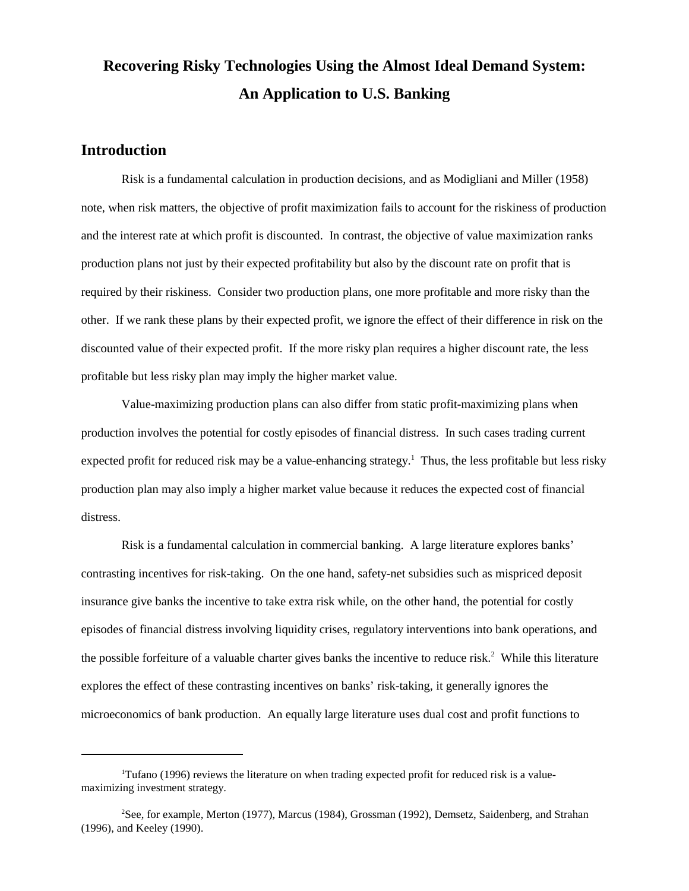## **Recovering Risky Technologies Using the Almost Ideal Demand System: An Application to U.S. Banking**

#### **Introduction**

Risk is a fundamental calculation in production decisions, and as Modigliani and Miller (1958) note, when risk matters, the objective of profit maximization fails to account for the riskiness of production and the interest rate at which profit is discounted. In contrast, the objective of value maximization ranks production plans not just by their expected profitability but also by the discount rate on profit that is required by their riskiness. Consider two production plans, one more profitable and more risky than the other. If we rank these plans by their expected profit, we ignore the effect of their difference in risk on the discounted value of their expected profit. If the more risky plan requires a higher discount rate, the less profitable but less risky plan may imply the higher market value.

Value-maximizing production plans can also differ from static profit-maximizing plans when production involves the potential for costly episodes of financial distress. In such cases trading current expected profit for reduced risk may be a value-enhancing strategy.<sup>1</sup> Thus, the less profitable but less risky production plan may also imply a higher market value because it reduces the expected cost of financial distress.

Risk is a fundamental calculation in commercial banking. A large literature explores banks' contrasting incentives for risk-taking. On the one hand, safety-net subsidies such as mispriced deposit insurance give banks the incentive to take extra risk while, on the other hand, the potential for costly episodes of financial distress involving liquidity crises, regulatory interventions into bank operations, and the possible forfeiture of a valuable charter gives banks the incentive to reduce risk.<sup>2</sup> While this literature explores the effect of these contrasting incentives on banks' risk-taking, it generally ignores the microeconomics of bank production. An equally large literature uses dual cost and profit functions to

<sup>&</sup>lt;sup>1</sup>Tufano (1996) reviews the literature on when trading expected profit for reduced risk is a valuemaximizing investment strategy.

<sup>&</sup>lt;sup>2</sup>See, for example, Merton (1977), Marcus (1984), Grossman (1992), Demsetz, Saidenberg, and Strahan (1996), and Keeley (1990).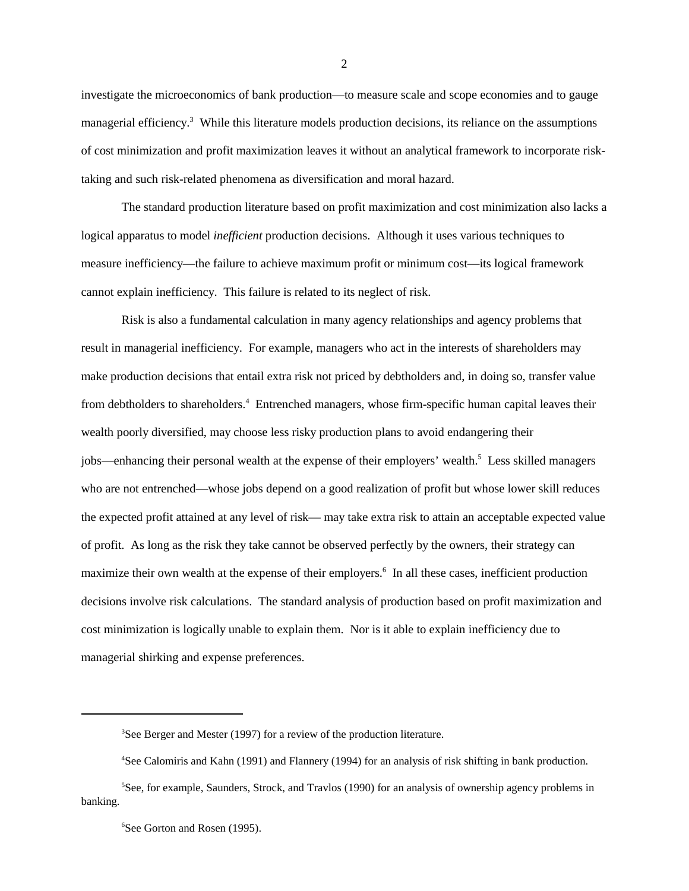investigate the microeconomics of bank production—to measure scale and scope economies and to gauge managerial efficiency.<sup>3</sup> While this literature models production decisions, its reliance on the assumptions of cost minimization and profit maximization leaves it without an analytical framework to incorporate risktaking and such risk-related phenomena as diversification and moral hazard.

The standard production literature based on profit maximization and cost minimization also lacks a logical apparatus to model *inefficient* production decisions. Although it uses various techniques to measure inefficiency—the failure to achieve maximum profit or minimum cost—its logical framework cannot explain inefficiency. This failure is related to its neglect of risk.

Risk is also a fundamental calculation in many agency relationships and agency problems that result in managerial inefficiency. For example, managers who act in the interests of shareholders may make production decisions that entail extra risk not priced by debtholders and, in doing so, transfer value from debtholders to shareholders.<sup>4</sup> Entrenched managers, whose firm-specific human capital leaves their wealth poorly diversified, may choose less risky production plans to avoid endangering their jobs—enhancing their personal wealth at the expense of their employers' wealth.<sup>5</sup> Less skilled managers who are not entrenched—whose jobs depend on a good realization of profit but whose lower skill reduces the expected profit attained at any level of risk— may take extra risk to attain an acceptable expected value of profit. As long as the risk they take cannot be observed perfectly by the owners, their strategy can maximize their own wealth at the expense of their employers.<sup>6</sup> In all these cases, inefficient production decisions involve risk calculations. The standard analysis of production based on profit maximization and cost minimization is logically unable to explain them. Nor is it able to explain inefficiency due to managerial shirking and expense preferences.

 ${}^{3}$ See Berger and Mester (1997) for a review of the production literature.

<sup>&</sup>lt;sup>4</sup>See Calomiris and Kahn (1991) and Flannery (1994) for an analysis of risk shifting in bank production.

 ${}^{5}$ See, for example, Saunders, Strock, and Travlos (1990) for an analysis of ownership agency problems in banking.

<sup>&</sup>lt;sup>6</sup>See Gorton and Rosen (1995).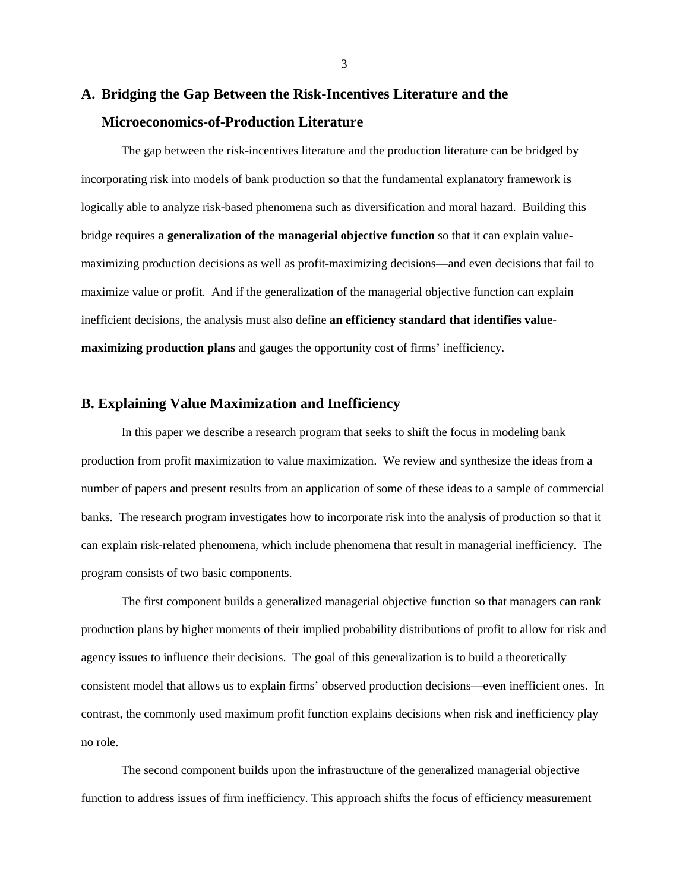### **A. Bridging the Gap Between the Risk-Incentives Literature and the Microeconomics-of-Production Literature**

The gap between the risk-incentives literature and the production literature can be bridged by incorporating risk into models of bank production so that the fundamental explanatory framework is logically able to analyze risk-based phenomena such as diversification and moral hazard. Building this bridge requires **a generalization of the managerial objective function** so that it can explain valuemaximizing production decisions as well as profit-maximizing decisions—and even decisions that fail to maximize value or profit. And if the generalization of the managerial objective function can explain inefficient decisions, the analysis must also define **an efficiency standard that identifies valuemaximizing production plans** and gauges the opportunity cost of firms' inefficiency.

#### **B. Explaining Value Maximization and Inefficiency**

In this paper we describe a research program that seeks to shift the focus in modeling bank production from profit maximization to value maximization. We review and synthesize the ideas from a number of papers and present results from an application of some of these ideas to a sample of commercial banks. The research program investigates how to incorporate risk into the analysis of production so that it can explain risk-related phenomena, which include phenomena that result in managerial inefficiency. The program consists of two basic components.

The first component builds a generalized managerial objective function so that managers can rank production plans by higher moments of their implied probability distributions of profit to allow for risk and agency issues to influence their decisions. The goal of this generalization is to build a theoretically consistent model that allows us to explain firms' observed production decisions—even inefficient ones. In contrast, the commonly used maximum profit function explains decisions when risk and inefficiency play no role.

The second component builds upon the infrastructure of the generalized managerial objective function to address issues of firm inefficiency. This approach shifts the focus of efficiency measurement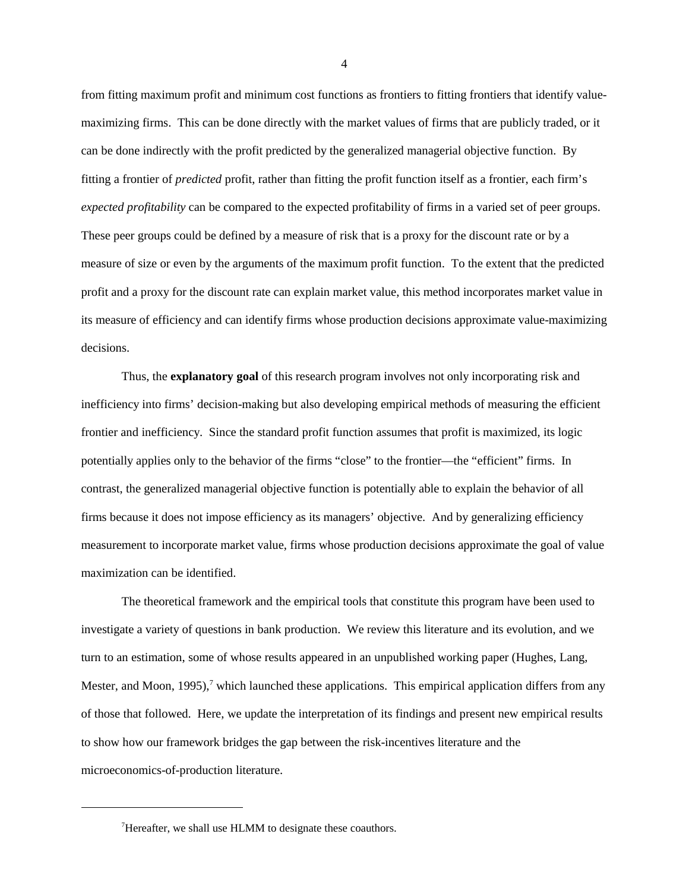from fitting maximum profit and minimum cost functions as frontiers to fitting frontiers that identify valuemaximizing firms. This can be done directly with the market values of firms that are publicly traded, or it can be done indirectly with the profit predicted by the generalized managerial objective function. By fitting a frontier of *predicted* profit, rather than fitting the profit function itself as a frontier, each firm's *expected profitability* can be compared to the expected profitability of firms in a varied set of peer groups. These peer groups could be defined by a measure of risk that is a proxy for the discount rate or by a measure of size or even by the arguments of the maximum profit function. To the extent that the predicted profit and a proxy for the discount rate can explain market value, this method incorporates market value in its measure of efficiency and can identify firms whose production decisions approximate value-maximizing decisions.

 Thus, the **explanatory goal** of this research program involves not only incorporating risk and inefficiency into firms' decision-making but also developing empirical methods of measuring the efficient frontier and inefficiency. Since the standard profit function assumes that profit is maximized, its logic potentially applies only to the behavior of the firms "close" to the frontier—the "efficient" firms. In contrast, the generalized managerial objective function is potentially able to explain the behavior of all firms because it does not impose efficiency as its managers' objective. And by generalizing efficiency measurement to incorporate market value, firms whose production decisions approximate the goal of value maximization can be identified.

The theoretical framework and the empirical tools that constitute this program have been used to investigate a variety of questions in bank production. We review this literature and its evolution, and we turn to an estimation, some of whose results appeared in an unpublished working paper (Hughes, Lang, Mester, and Moon, 1995),<sup>7</sup> which launched these applications. This empirical application differs from any of those that followed. Here, we update the interpretation of its findings and present new empirical results to show how our framework bridges the gap between the risk-incentives literature and the microeconomics-of-production literature.

<sup>&</sup>lt;sup>7</sup>Hereafter, we shall use HLMM to designate these coauthors.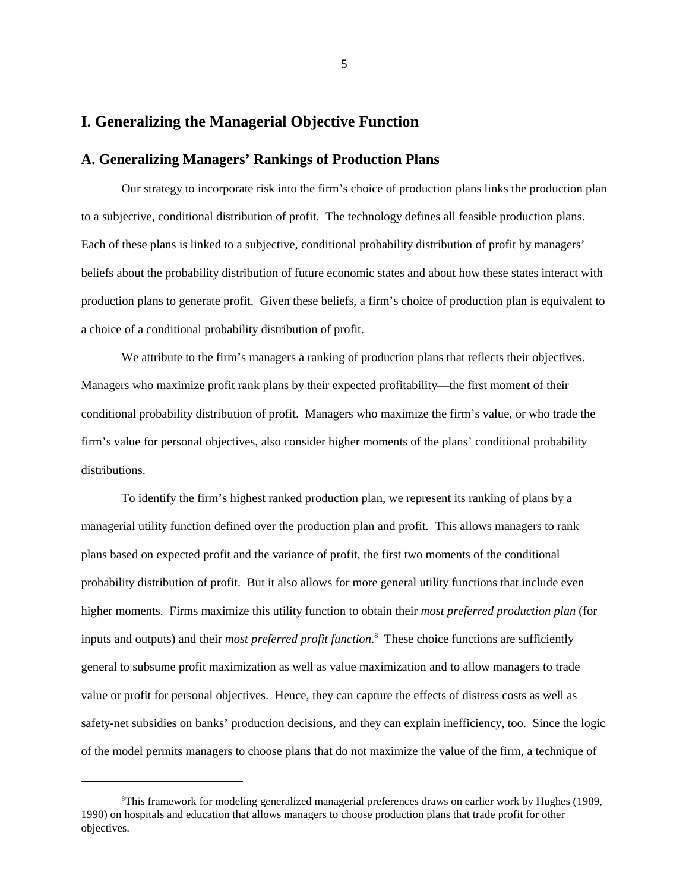#### **I. Generalizing the Managerial Objective Function**

#### **A. Generalizing Managers' Rankings of Production Plans**

Our strategy to incorporate risk into the firm's choice of production plans links the production plan to a subjective, conditional distribution of profit. The technology defines all feasible production plans. Each of these plans is linked to a subjective, conditional probability distribution of profit by managers' beliefs about the probability distribution of future economic states and about how these states interact with production plans to generate profit. Given these beliefs, a firm's choice of production plan is equivalent to a choice of a conditional probability distribution of profit.

We attribute to the firm's managers a ranking of production plans that reflects their objectives. Managers who maximize profit rank plans by their expected profitability—the first moment of their conditional probability distribution of profit. Managers who maximize the firm's value, or who trade the firm's value for personal objectives, also consider higher moments of the plans' conditional probability distributions.

To identify the firm's highest ranked production plan, we represent its ranking of plans by a managerial utility function defined over the production plan and profit. This allows managers to rank plans based on expected profit and the variance of profit, the first two moments of the conditional probability distribution of profit. But it also allows for more general utility functions that include even higher moments. Firms maximize this utility function to obtain their *most preferred production plan* (for inputs and outputs) and their *most preferred profit function*.<sup>8</sup> These choice functions are sufficiently general to subsume profit maximization as well as value maximization and to allow managers to trade value or profit for personal objectives. Hence, they can capture the effects of distress costs as well as safety-net subsidies on banks' production decisions, and they can explain inefficiency, too.Since the logic of the model permits managers to choose plans that do not maximize the value of the firm, a technique of

 $\textsuperscript{8}$ This framework for modeling generalized managerial preferences draws on earlier work by Hughes (1989, 1990) on hospitals and education that allows managers to choose production plans that trade profit for other objectives.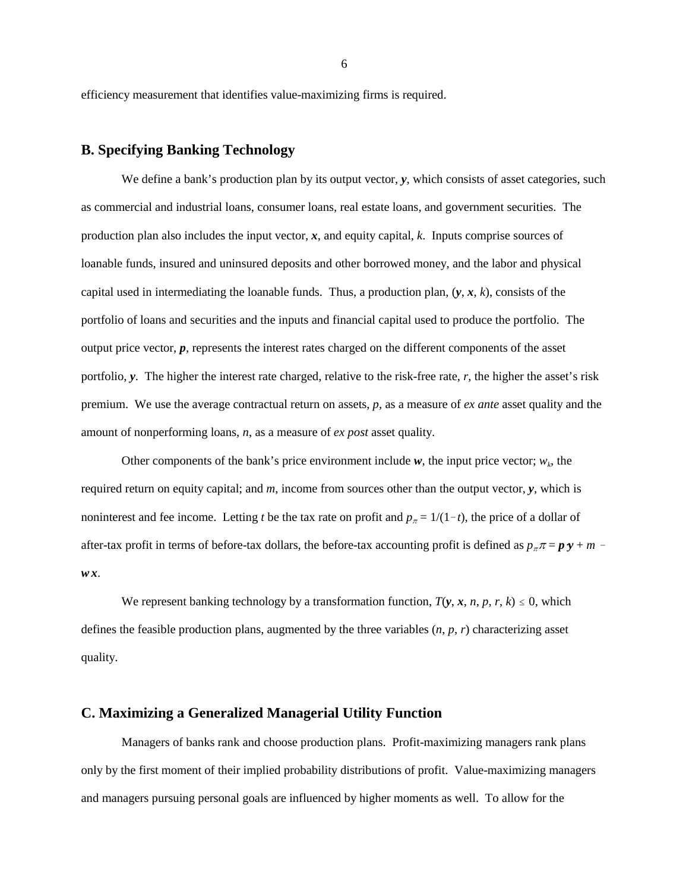efficiency measurement that identifies value-maximizing firms is required.

#### **B. Specifying Banking Technology**

We define a bank's production plan by its output vector, *y*, which consists of asset categories, such as commercial and industrial loans, consumer loans, real estate loans, and government securities. The production plan also includes the input vector, *x*, and equity capital, *k*. Inputs comprise sources of loanable funds, insured and uninsured deposits and other borrowed money, and the labor and physical capital used in intermediating the loanable funds. Thus, a production plan,  $(y, x, k)$ , consists of the portfolio of loans and securities and the inputs and financial capital used to produce the portfolio. The output price vector, *p*, represents the interest rates charged on the different components of the asset portfolio, *y*. The higher the interest rate charged, relative to the risk-free rate, *r*, the higher the asset's risk premium. We use the average contractual return on assets, *p*, as a measure of *ex ante* asset quality and the amount of nonperforming loans, *n*, as a measure of *ex post* asset quality.

Other components of the bank's price environment include  $w$ , the input price vector;  $w_k$ , the required return on equity capital; and *m*, income from sources other than the output vector, *y*, which is noninterest and fee income. Letting *t* be the tax rate on profit and  $p_{\pi} = 1/(1-t)$ , the price of a dollar of after-tax profit in terms of before-tax dollars, the before-tax accounting profit is defined as  $p<sub>x</sub> = p \mathbf{y} + m$  *w x*.

We represent banking technology by a transformation function,  $T(y, x, n, p, r, k) \leq 0$ , which defines the feasible production plans, augmented by the three variables (*n*, *p*, *r*) characterizing asset quality.

#### **C. Maximizing a Generalized Managerial Utility Function**

Managers of banks rank and choose production plans. Profit-maximizing managers rank plans only by the first moment of their implied probability distributions of profit. Value-maximizing managers and managers pursuing personal goals are influenced by higher moments as well. To allow for the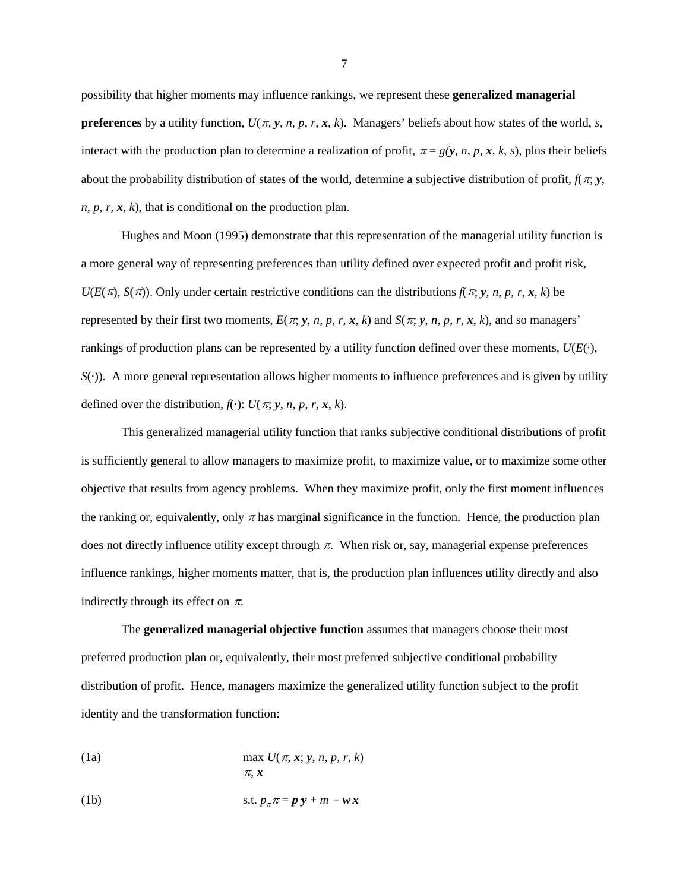possibility that higher moments may influence rankings, we represent these **generalized managerial preferences** by a utility function,  $U(\pi, y, n, p, r, x, k)$ . Managers' beliefs about how states of the world, *s*, interact with the production plan to determine a realization of profit,  $\pi = g(y, n, p, x, k, s)$ , plus their beliefs about the probability distribution of states of the world, determine a subjective distribution of profit,  $f(\pi, y)$ ,  $n, p, r, x, k$ , that is conditional on the production plan.

Hughes and Moon (1995) demonstrate that this representation of the managerial utility function is a more general way of representing preferences than utility defined over expected profit and profit risk,  $U(E(\pi), S(\pi))$ . Only under certain restrictive conditions can the distributions  $f(\pi, y, n, p, r, x, k)$  be represented by their first two moments,  $E(\pi, y, n, p, r, x, k)$  and  $S(\pi, y, n, p, r, x, k)$ , and so managers' rankings of production plans can be represented by a utility function defined over these moments, *U*(*E*(·), *S*(·)). A more general representation allows higher moments to influence preferences and is given by utility defined over the distribution,  $f(\cdot)$ :  $U(\pi, \mathbf{v}, n, p, r, \mathbf{x}, k)$ .

This generalized managerial utility function that ranks subjective conditional distributions of profit is sufficiently general to allow managers to maximize profit, to maximize value, or to maximize some other objective that results from agency problems. When they maximize profit, only the first moment influences the ranking or, equivalently, only  $\pi$  has marginal significance in the function. Hence, the production plan does not directly influence utility except through  $\pi$ . When risk or, say, managerial expense preferences influence rankings, higher moments matter, that is, the production plan influences utility directly and also indirectly through its effect on  $\pi$ .

The **generalized managerial objective function** assumes that managers choose their most preferred production plan or, equivalently, their most preferred subjective conditional probability distribution of profit. Hence, managers maximize the generalized utility function subject to the profit identity and the transformation function:

(1a) 
$$
\max U(\pi, x; y, n, p, r, k)
$$

$$
\pi, x
$$

(1b) s.t. 
$$
p_{\pi}\pi = \mathbf{p}\mathbf{y} + m - \mathbf{w}\mathbf{x}
$$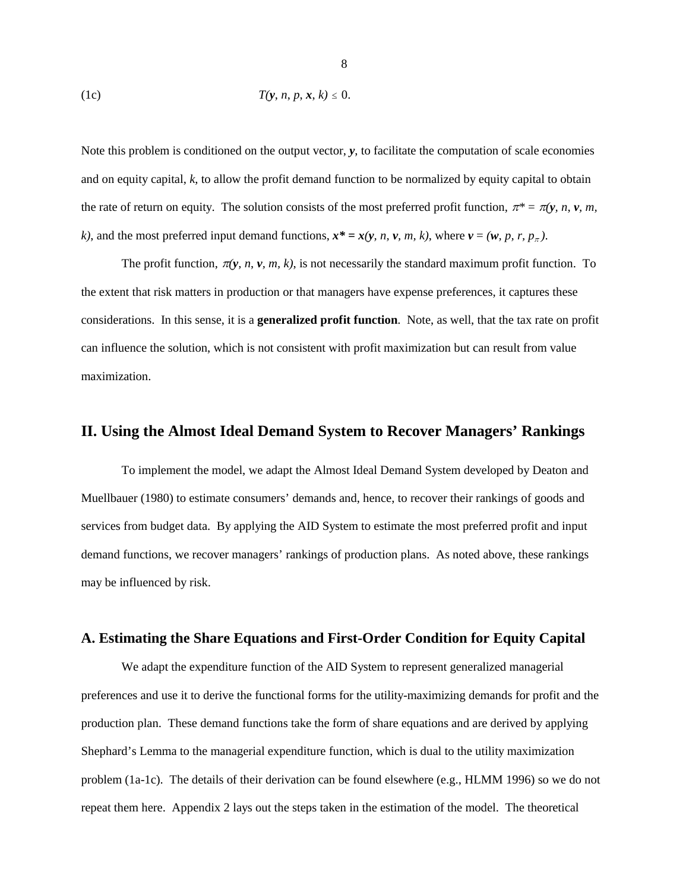$$
(1c) \tT(y, n, p, x, k) \leq 0.
$$

Note this problem is conditioned on the output vector, **y**, to facilitate the computation of scale economies and on equity capital, *k*, to allow the profit demand function to be normalized by equity capital to obtain the rate of return on equity. The solution consists of the most preferred profit function,  $\pi^* = \pi(y, n, v, m,$ *k*), and the most preferred input demand functions,  $x^* = x(y, n, v, m, k)$ , where  $v = (w, p, r, p_\pi)$ .

The profit function,  $\pi(y, n, v, m, k)$ , is not necessarily the standard maximum profit function. To the extent that risk matters in production or that managers have expense preferences, it captures these considerations. In this sense, it is a **generalized profit function**. Note, as well, that the tax rate on profit can influence the solution, which is not consistent with profit maximization but can result from value maximization.

#### **II. Using the Almost Ideal Demand System to Recover Managers' Rankings**

To implement the model, we adapt the Almost Ideal Demand System developed by Deaton and Muellbauer (1980) to estimate consumers' demands and, hence, to recover their rankings of goods and services from budget data. By applying the AID System to estimate the most preferred profit and input demand functions, we recover managers' rankings of production plans. As noted above, these rankings may be influenced by risk.

#### **A. Estimating the Share Equations and First-Order Condition for Equity Capital**

We adapt the expenditure function of the AID System to represent generalized managerial preferences and use it to derive the functional forms for the utility-maximizing demands for profit and the production plan. These demand functions take the form of share equations and are derived by applying Shephard's Lemma to the managerial expenditure function, which is dual to the utility maximization problem (1a-1c). The details of their derivation can be found elsewhere (e.g., HLMM 1996) so we do not repeat them here. Appendix 2 lays out the steps taken in the estimation of the model. The theoretical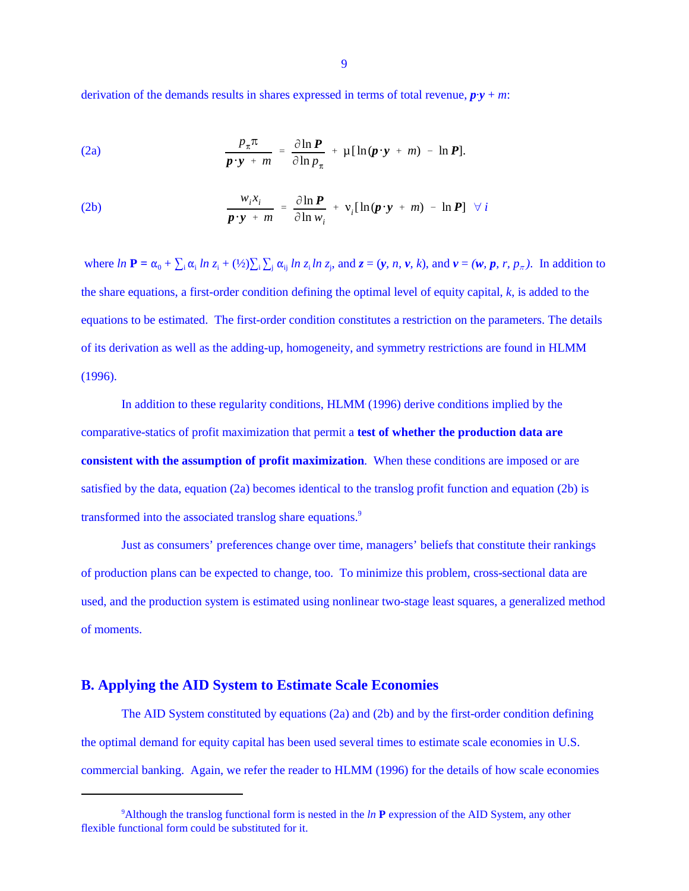derivation of the demands results in shares expressed in terms of total revenue,  $\mathbf{p} \cdot \mathbf{y} + \mathbf{m}$ :

(2a) 
$$
\frac{p_{\pi}\pi}{p \cdot y + m} = \frac{\partial \ln P}{\partial \ln p_{\pi}} + \mu [\ln(p \cdot y + m) - \ln P].
$$

(2b) 
$$
\frac{w_i x_i}{p \cdot y + m} = \frac{\partial \ln P}{\partial \ln w_i} + v_i [\ln(p \cdot y + m) - \ln P] \quad \forall i
$$

where  $\ln \mathbf{P} = \alpha_0 + \sum_i \alpha_i \ln z_i + (\frac{1}{2}) \sum_i \sum_j \alpha_{ij} \ln z_i \ln z_j$ , and  $z = (y, n, v, k)$ , and  $v = (w, p, r, p_\pi)$ . In addition to the share equations, a first-order condition defining the optimal level of equity capital, *k*, is added to the equations to be estimated. The first-order condition constitutes a restriction on the parameters. The details of its derivation as well as the adding-up, homogeneity, and symmetry restrictions are found in HLMM (1996).

In addition to these regularity conditions, HLMM (1996) derive conditions implied by the comparative-statics of profit maximization that permit a **test of whether the production data are consistent with the assumption of profit maximization**. When these conditions are imposed or are satisfied by the data, equation (2a) becomes identical to the translog profit function and equation (2b) is transformed into the associated translog share equations.<sup>9</sup>

Just as consumers' preferences change over time, managers' beliefs that constitute their rankings of production plans can be expected to change, too. To minimize this problem, cross-sectional data are used, and the production system is estimated using nonlinear two-stage least squares, a generalized method of moments.

#### **B. Applying the AID System to Estimate Scale Economies**

The AID System constituted by equations (2a) and (2b) and by the first-order condition defining the optimal demand for equity capital has been used several times to estimate scale economies in U.S. commercial banking. Again, we refer the reader to HLMM (1996) for the details of how scale economies

<sup>&</sup>lt;sup>9</sup>Although the translog functional form is nested in the *ln* **P** expression of the AID System, any other flexible functional form could be substituted for it.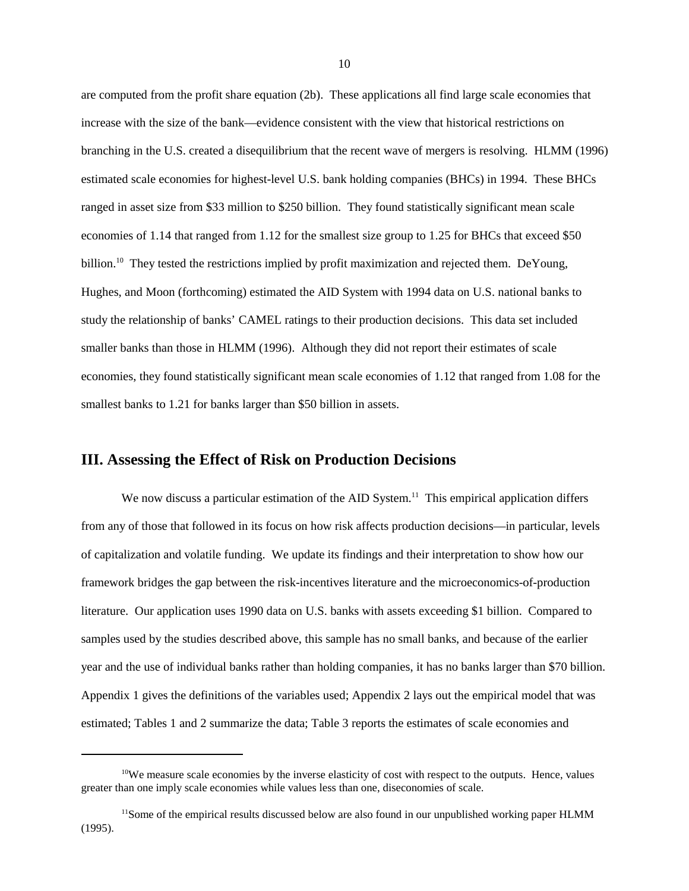are computed from the profit share equation (2b). These applications all find large scale economies that increase with the size of the bank—evidence consistent with the view that historical restrictions on branching in the U.S. created a disequilibrium that the recent wave of mergers is resolving. HLMM (1996) estimated scale economies for highest-level U.S. bank holding companies (BHCs) in 1994. These BHCs ranged in asset size from \$33 million to \$250 billion. They found statistically significant mean scale economies of 1.14 that ranged from 1.12 for the smallest size group to 1.25 for BHCs that exceed \$50 billion.<sup>10</sup> They tested the restrictions implied by profit maximization and rejected them. DeYoung, Hughes, and Moon (forthcoming) estimated the AID System with 1994 data on U.S. national banks to study the relationship of banks' CAMEL ratings to their production decisions. This data set included smaller banks than those in HLMM (1996). Although they did not report their estimates of scale economies, they found statistically significant mean scale economies of 1.12 that ranged from 1.08 for the smallest banks to 1.21 for banks larger than \$50 billion in assets.

#### **III. Assessing the Effect of Risk on Production Decisions**

We now discuss a particular estimation of the AID System.<sup>11</sup> This empirical application differs from any of those that followed in its focus on how risk affects production decisions—in particular, levels of capitalization and volatile funding. We update its findings and their interpretation to show how our framework bridges the gap between the risk-incentives literature and the microeconomics-of-production literature. Our application uses 1990 data on U.S. banks with assets exceeding \$1 billion. Compared to samples used by the studies described above, this sample has no small banks, and because of the earlier year and the use of individual banks rather than holding companies, it has no banks larger than \$70 billion. Appendix 1 gives the definitions of the variables used; Appendix 2 lays out the empirical model that was estimated; Tables 1 and 2 summarize the data; Table 3 reports the estimates of scale economies and

 $10$ We measure scale economies by the inverse elasticity of cost with respect to the outputs. Hence, values greater than one imply scale economies while values less than one, diseconomies of scale.

<sup>&</sup>lt;sup>11</sup>Some of the empirical results discussed below are also found in our unpublished working paper HLMM (1995).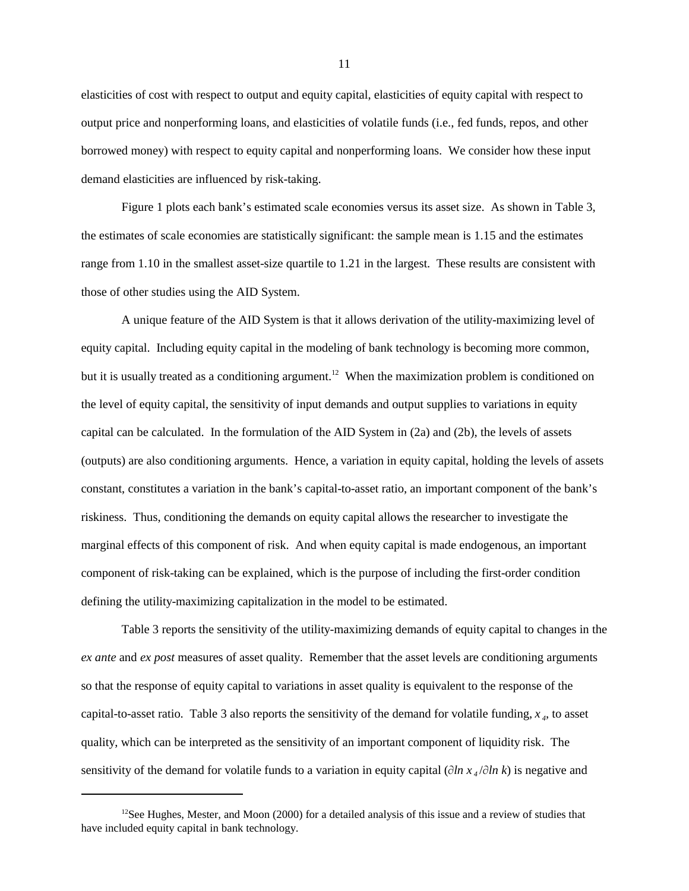elasticities of cost with respect to output and equity capital, elasticities of equity capital with respect to output price and nonperforming loans, and elasticities of volatile funds (i.e., fed funds, repos, and other borrowed money) with respect to equity capital and nonperforming loans. We consider how these input demand elasticities are influenced by risk-taking.

Figure 1 plots each bank's estimated scale economies versus its asset size. As shown in Table 3, the estimates of scale economies are statistically significant: the sample mean is 1.15 and the estimates range from 1.10 in the smallest asset-size quartile to 1.21 in the largest. These results are consistent with those of other studies using the AID System.

A unique feature of the AID System is that it allows derivation of the utility-maximizing level of equity capital. Including equity capital in the modeling of bank technology is becoming more common, but it is usually treated as a conditioning argument.<sup>12</sup> When the maximization problem is conditioned on the level of equity capital, the sensitivity of input demands and output supplies to variations in equity capital can be calculated. In the formulation of the AID System in (2a) and (2b), the levels of assets (outputs) are also conditioning arguments. Hence, a variation in equity capital, holding the levels of assets constant, constitutes a variation in the bank's capital-to-asset ratio, an important component of the bank's riskiness. Thus, conditioning the demands on equity capital allows the researcher to investigate the marginal effects of this component of risk. And when equity capital is made endogenous, an important component of risk-taking can be explained, which is the purpose of including the first-order condition defining the utility-maximizing capitalization in the model to be estimated.

Table 3 reports the sensitivity of the utility-maximizing demands of equity capital to changes in the *ex ante* and *ex post* measures of asset quality. Remember that the asset levels are conditioning arguments so that the response of equity capital to variations in asset quality is equivalent to the response of the capital-to-asset ratio. Table 3 also reports the sensitivity of the demand for volatile funding,  $x<sub>4</sub>$ , to asset quality, which can be interpreted as the sensitivity of an important component of liquidity risk. The sensitivity of the demand for volatile funds to a variation in equity capital ( $\partial \ln x_4 / \partial \ln k$ ) is negative and

<sup>&</sup>lt;sup>12</sup>See Hughes, Mester, and Moon (2000) for a detailed analysis of this issue and a review of studies that have included equity capital in bank technology.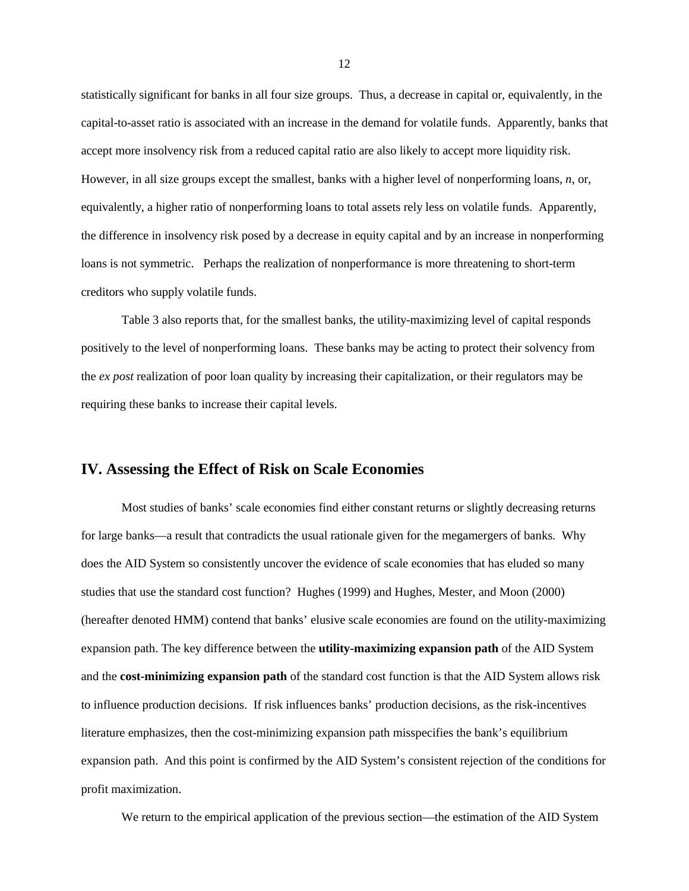statistically significant for banks in all four size groups. Thus, a decrease in capital or, equivalently, in the capital-to-asset ratio is associated with an increase in the demand for volatile funds. Apparently, banks that accept more insolvency risk from a reduced capital ratio are also likely to accept more liquidity risk. However, in all size groups except the smallest, banks with a higher level of nonperforming loans, *n*, or, equivalently, a higher ratio of nonperforming loans to total assets rely less on volatile funds. Apparently, the difference in insolvency risk posed by a decrease in equity capital and by an increase in nonperforming loans is not symmetric. Perhaps the realization of nonperformance is more threatening to short-term creditors who supply volatile funds.

Table 3 also reports that, for the smallest banks, the utility-maximizing level of capital responds positively to the level of nonperforming loans. These banks may be acting to protect their solvency from the *ex post* realization of poor loan quality by increasing their capitalization, or their regulators may be requiring these banks to increase their capital levels.

#### **IV. Assessing the Effect of Risk on Scale Economies**

Most studies of banks' scale economies find either constant returns or slightly decreasing returns for large banks—a result that contradicts the usual rationale given for the megamergers of banks. Why does the AID System so consistently uncover the evidence of scale economies that has eluded so many studies that use the standard cost function? Hughes (1999) and Hughes, Mester, and Moon (2000) (hereafter denoted HMM) contend that banks' elusive scale economies are found on the utility-maximizing expansion path. The key difference between the **utility-maximizing expansion path** of the AID System and the **cost-minimizing expansion path** of the standard cost function is that the AID System allows risk to influence production decisions. If risk influences banks' production decisions, as the risk-incentives literature emphasizes, then the cost-minimizing expansion path misspecifies the bank's equilibrium expansion path. And this point is confirmed by the AID System's consistent rejection of the conditions for profit maximization.

We return to the empirical application of the previous section—the estimation of the AID System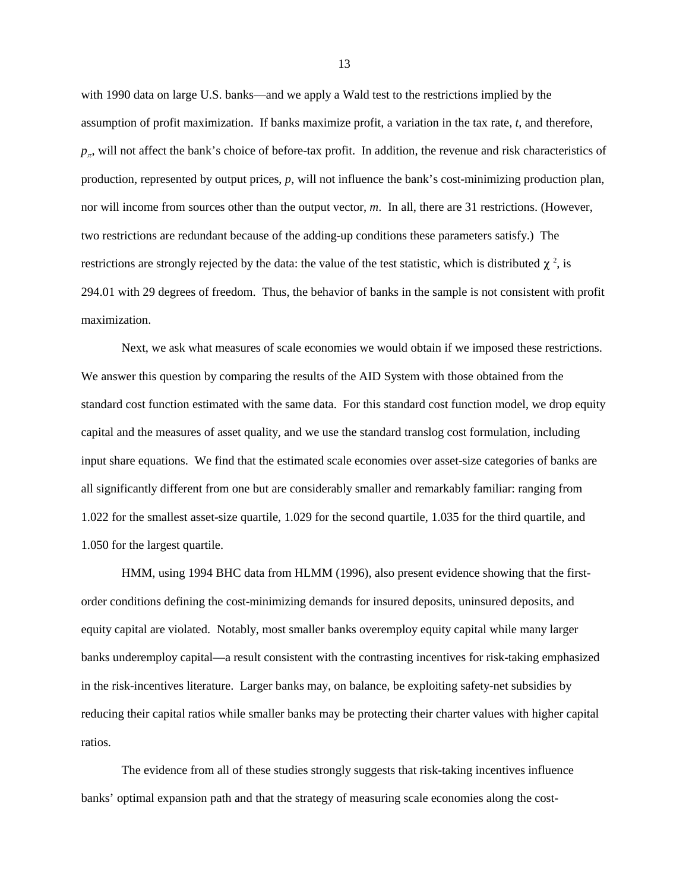with 1990 data on large U.S. banks—and we apply a Wald test to the restrictions implied by the assumption of profit maximization. If banks maximize profit, a variation in the tax rate, *t*, and therefore,  $p_{\pi}$ , will not affect the bank's choice of before-tax profit. In addition, the revenue and risk characteristics of production, represented by output prices, *p*, will not influence the bank's cost-minimizing production plan, nor will income from sources other than the output vector, *m*. In all, there are 31 restrictions. (However, two restrictions are redundant because of the adding-up conditions these parameters satisfy.) The restrictions are strongly rejected by the data: the value of the test statistic, which is distributed  $\chi^2$ , is 294.01 with 29 degrees of freedom. Thus, the behavior of banks in the sample is not consistent with profit maximization.

Next, we ask what measures of scale economies we would obtain if we imposed these restrictions. We answer this question by comparing the results of the AID System with those obtained from the standard cost function estimated with the same data. For this standard cost function model, we drop equity capital and the measures of asset quality, and we use the standard translog cost formulation, including input share equations. We find that the estimated scale economies over asset-size categories of banks are all significantly different from one but are considerably smaller and remarkably familiar: ranging from 1.022 for the smallest asset-size quartile, 1.029 for the second quartile, 1.035 for the third quartile, and 1.050 for the largest quartile.

HMM, using 1994 BHC data from HLMM (1996), also present evidence showing that the firstorder conditions defining the cost-minimizing demands for insured deposits, uninsured deposits, and equity capital are violated. Notably, most smaller banks overemploy equity capital while many larger banks underemploy capital—a result consistent with the contrasting incentives for risk-taking emphasized in the risk-incentives literature. Larger banks may, on balance, be exploiting safety-net subsidies by reducing their capital ratios while smaller banks may be protecting their charter values with higher capital ratios.

The evidence from all of these studies strongly suggests that risk-taking incentives influence banks' optimal expansion path and that the strategy of measuring scale economies along the cost-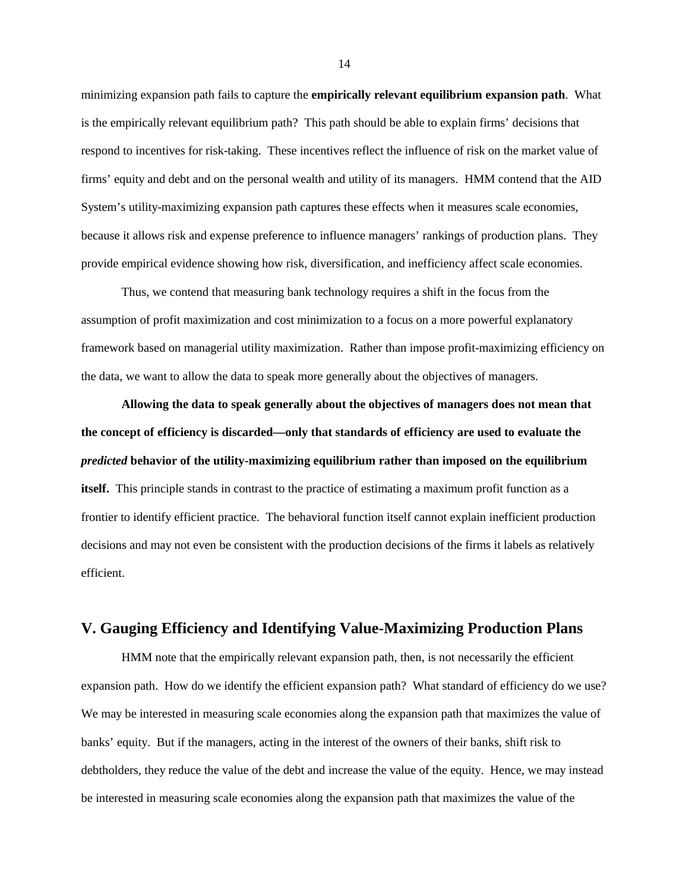minimizing expansion path fails to capture the **empirically relevant equilibrium expansion path**. What is the empirically relevant equilibrium path? This path should be able to explain firms' decisions that respond to incentives for risk-taking. These incentives reflect the influence of risk on the market value of firms' equity and debt and on the personal wealth and utility of its managers. HMM contend that the AID System's utility-maximizing expansion path captures these effects when it measures scale economies, because it allows risk and expense preference to influence managers' rankings of production plans. They provide empirical evidence showing how risk, diversification, and inefficiency affect scale economies.

Thus, we contend that measuring bank technology requires a shift in the focus from the assumption of profit maximization and cost minimization to a focus on a more powerful explanatory framework based on managerial utility maximization. Rather than impose profit-maximizing efficiency on the data, we want to allow the data to speak more generally about the objectives of managers.

**Allowing the data to speak generally about the objectives of managers does not mean that the concept of efficiency is discarded—only that standards of efficiency are used to evaluate the** *predicted* **behavior of the utility-maximizing equilibrium rather than imposed on the equilibrium itself.** This principle stands in contrast to the practice of estimating a maximum profit function as a frontier to identify efficient practice. The behavioral function itself cannot explain inefficient production decisions and may not even be consistent with the production decisions of the firms it labels as relatively efficient.

#### **V. Gauging Efficiency and Identifying Value-Maximizing Production Plans**

HMM note that the empirically relevant expansion path, then, is not necessarily the efficient expansion path. How do we identify the efficient expansion path? What standard of efficiency do we use? We may be interested in measuring scale economies along the expansion path that maximizes the value of banks' equity. But if the managers, acting in the interest of the owners of their banks, shift risk to debtholders, they reduce the value of the debt and increase the value of the equity. Hence, we may instead be interested in measuring scale economies along the expansion path that maximizes the value of the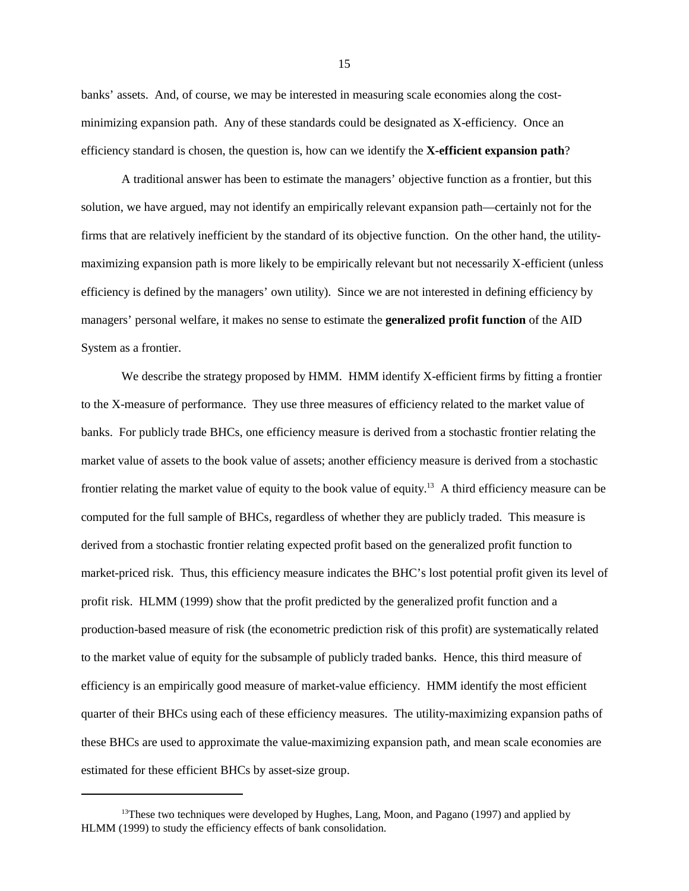banks' assets. And, of course, we may be interested in measuring scale economies along the costminimizing expansion path. Any of these standards could be designated as X-efficiency. Once an efficiency standard is chosen, the question is, how can we identify the **X-efficient expansion path**?

A traditional answer has been to estimate the managers' objective function as a frontier, but this solution, we have argued, may not identify an empirically relevant expansion path—certainly not for the firms that are relatively inefficient by the standard of its objective function. On the other hand, the utilitymaximizing expansion path is more likely to be empirically relevant but not necessarily X-efficient (unless efficiency is defined by the managers' own utility). Since we are not interested in defining efficiency by managers' personal welfare, it makes no sense to estimate the **generalized profit function** of the AID System as a frontier.

We describe the strategy proposed by HMM. HMM identify X-efficient firms by fitting a frontier to the X-measure of performance. They use three measures of efficiency related to the market value of banks. For publicly trade BHCs, one efficiency measure is derived from a stochastic frontier relating the market value of assets to the book value of assets; another efficiency measure is derived from a stochastic frontier relating the market value of equity to the book value of equity.<sup>13</sup> A third efficiency measure can be computed for the full sample of BHCs, regardless of whether they are publicly traded. This measure is derived from a stochastic frontier relating expected profit based on the generalized profit function to market-priced risk. Thus, this efficiency measure indicates the BHC's lost potential profit given its level of profit risk. HLMM (1999) show that the profit predicted by the generalized profit function and a production-based measure of risk (the econometric prediction risk of this profit) are systematically related to the market value of equity for the subsample of publicly traded banks. Hence, this third measure of efficiency is an empirically good measure of market-value efficiency. HMM identify the most efficient quarter of their BHCs using each of these efficiency measures. The utility-maximizing expansion paths of these BHCs are used to approximate the value-maximizing expansion path, and mean scale economies are estimated for these efficient BHCs by asset-size group.

 $13$ These two techniques were developed by Hughes, Lang, Moon, and Pagano (1997) and applied by HLMM (1999) to study the efficiency effects of bank consolidation.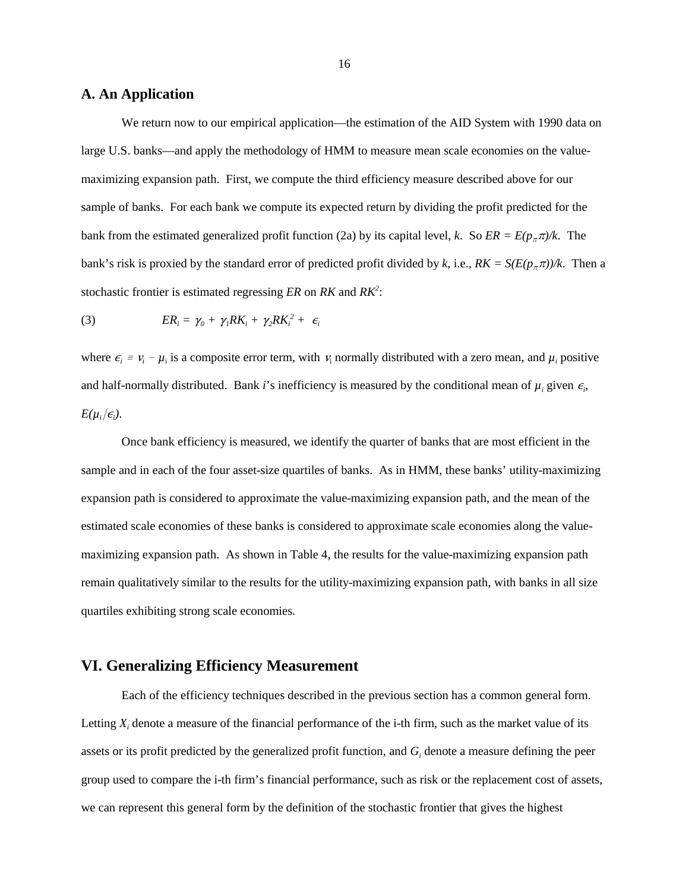#### **A. An Application**

We return now to our empirical application—the estimation of the AID System with 1990 data on large U.S. banks—and apply the methodology of HMM to measure mean scale economies on the valuemaximizing expansion path. First, we compute the third efficiency measure described above for our sample of banks. For each bank we compute its expected return by dividing the profit predicted for the bank from the estimated generalized profit function (2a) by its capital level, *k*. So  $ER = E(p_{\pi} \pi)/k$ . The bank's risk is proxied by the standard error of predicted profit divided by *k*, i.e.,  $RK = S(E(p<sub>p</sub>π))/k$ . Then a stochastic frontier is estimated regressing *ER* on *RK* and *RK* : *2*

(3) 
$$
ER_i = \gamma_0 + \gamma_1 RK_i + \gamma_2 RK_i^2 + \epsilon_i
$$

where  $\epsilon_i = v_i - \mu_i$  is a composite error term, with  $v_i$  normally distributed with a zero mean, and  $\mu_i$  positive and half-normally distributed. Bank *i*'s inefficiency is measured by the conditional mean of  $\mu_i$  given  $\epsilon_i$ ,  $E(\mu_i/\epsilon_i)$ .

Once bank efficiency is measured, we identify the quarter of banks that are most efficient in the sample and in each of the four asset-size quartiles of banks. As in HMM, these banks' utility-maximizing expansion path is considered to approximate the value-maximizing expansion path, and the mean of the estimated scale economies of these banks is considered to approximate scale economies along the valuemaximizing expansion path. As shown in Table 4, the results for the value-maximizing expansion path remain qualitatively similar to the results for the utility-maximizing expansion path, with banks in all size quartiles exhibiting strong scale economies.

#### **VI. Generalizing Efficiency Measurement**

Each of the efficiency techniques described in the previous section has a common general form. Letting  $X_i$  denote a measure of the financial performance of the i-th firm, such as the market value of its assets or its profit predicted by the generalized profit function, and  $G_i$  denote a measure defining the peer group used to compare the i-th firm's financial performance, such as risk or the replacement cost of assets, we can represent this general form by the definition of the stochastic frontier that gives the highest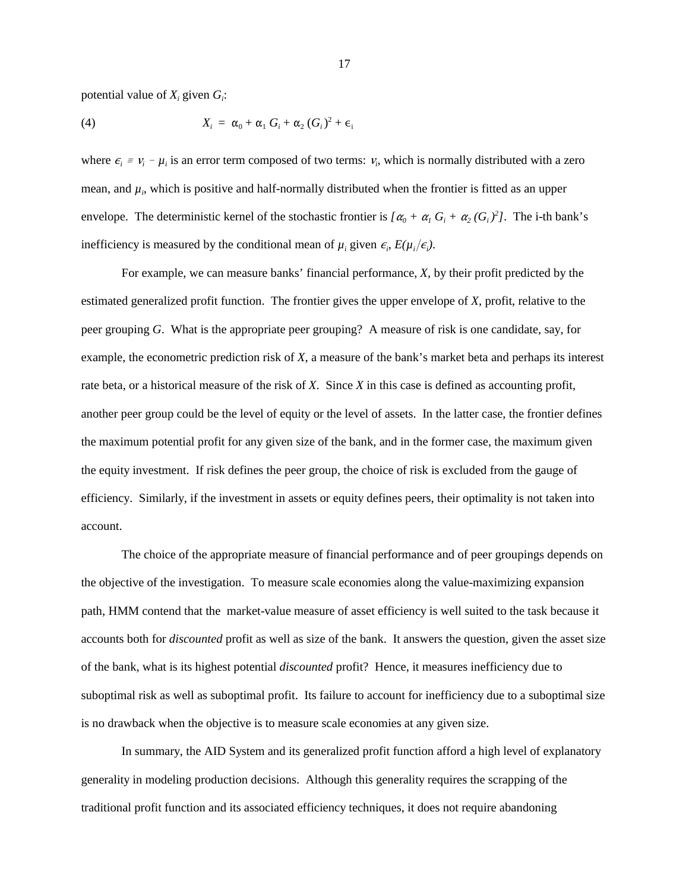potential value of  $X_i$  given  $G_i$ :

(4) 
$$
X_i = \alpha_0 + \alpha_1 G_i + \alpha_2 (G_i)^2 + \epsilon_i
$$

where  $\epsilon_i = v_i - \mu_i$  is an error term composed of two terms:  $v_i$ , which is normally distributed with a zero mean, and  $\mu_i$ , which is positive and half-normally distributed when the frontier is fitted as an upper envelope. The deterministic kernel of the stochastic frontier is  $\left[\alpha_0 + \alpha_1 G_i + \alpha_2 (G_i)^2\right]$ . The i-th bank's inefficiency is measured by the conditional mean of  $\mu_i$  given  $\epsilon_i$ ,  $E(\mu_i/\epsilon_i)$ .

For example, we can measure banks' financial performance, *X*, by their profit predicted by the estimated generalized profit function. The frontier gives the upper envelope of *X*, profit, relative to the peer grouping *G*. What is the appropriate peer grouping? A measure of risk is one candidate, say, for example, the econometric prediction risk of *X*, a measure of the bank's market beta and perhaps its interest rate beta, or a historical measure of the risk of *X*. Since *X* in this case is defined as accounting profit, another peer group could be the level of equity or the level of assets. In the latter case, the frontier defines the maximum potential profit for any given size of the bank, and in the former case, the maximum given the equity investment. If risk defines the peer group, the choice of risk is excluded from the gauge of efficiency. Similarly, if the investment in assets or equity defines peers, their optimality is not taken into account.

The choice of the appropriate measure of financial performance and of peer groupings depends on the objective of the investigation. To measure scale economies along the value-maximizing expansion path, HMM contend that the market-value measure of asset efficiency is well suited to the task because it accounts both for *discounted* profit as well as size of the bank. It answers the question, given the asset size of the bank, what is its highest potential *discounted* profit? Hence, it measures inefficiency due to suboptimal risk as well as suboptimal profit. Its failure to account for inefficiency due to a suboptimal size is no drawback when the objective is to measure scale economies at any given size.

In summary, the AID System and its generalized profit function afford a high level of explanatory generality in modeling production decisions. Although this generality requires the scrapping of the traditional profit function and its associated efficiency techniques, it does not require abandoning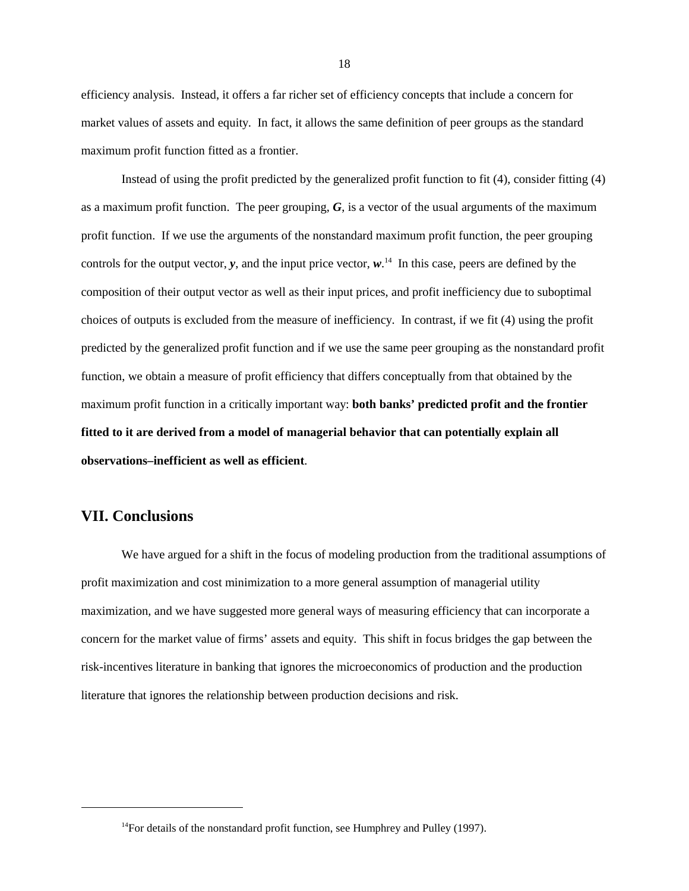efficiency analysis. Instead, it offers a far richer set of efficiency concepts that include a concern for market values of assets and equity. In fact, it allows the same definition of peer groups as the standard maximum profit function fitted as a frontier.

Instead of using the profit predicted by the generalized profit function to fit (4), consider fitting (4) as a maximum profit function. The peer grouping,  $G$ , is a vector of the usual arguments of the maximum profit function. If we use the arguments of the nonstandard maximum profit function, the peer grouping controls for the output vector,  $\bf{y}$ , and the input price vector,  $\bf{w}$ .<sup>14</sup> In this case, peers are defined by the composition of their output vector as well as their input prices, and profit inefficiency due to suboptimal choices of outputs is excluded from the measure of inefficiency. In contrast, if we fit (4) using the profit predicted by the generalized profit function and if we use the same peer grouping as the nonstandard profit function, we obtain a measure of profit efficiency that differs conceptually from that obtained by the maximum profit function in a critically important way: **both banks' predicted profit and the frontier fitted to it are derived from a model of managerial behavior that can potentially explain all observations–inefficient as well as efficient**.

#### **VII. Conclusions**

We have argued for a shift in the focus of modeling production from the traditional assumptions of profit maximization and cost minimization to a more general assumption of managerial utility maximization, and we have suggested more general ways of measuring efficiency that can incorporate a concern for the market value of firms' assets and equity. This shift in focus bridges the gap between the risk-incentives literature in banking that ignores the microeconomics of production and the production literature that ignores the relationship between production decisions and risk.

 $14$  For details of the nonstandard profit function, see Humphrey and Pulley (1997).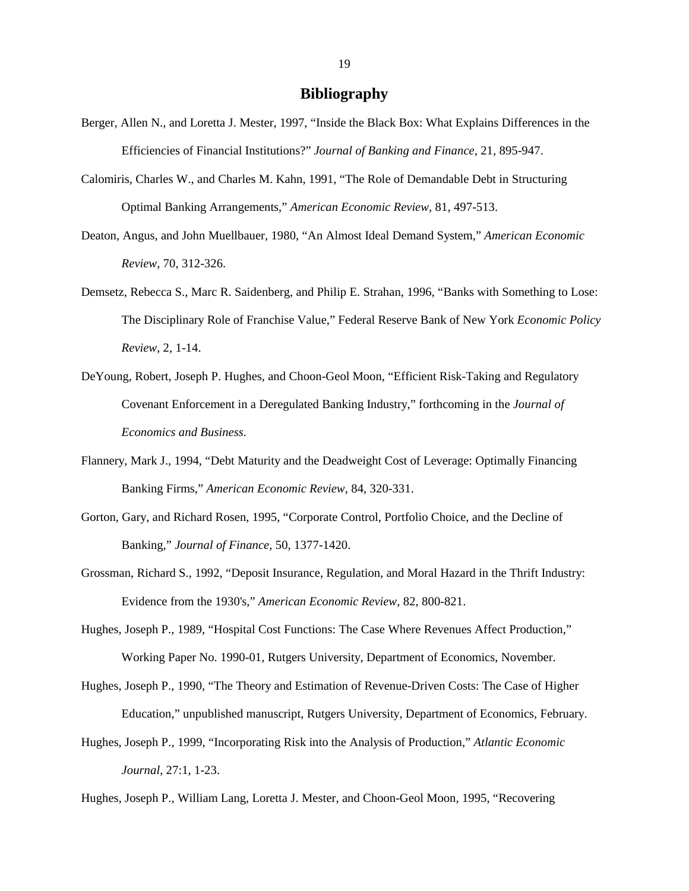#### **Bibliography**

- Berger, Allen N., and Loretta J. Mester, 1997, "Inside the Black Box: What Explains Differences in the Efficiencies of Financial Institutions?" *Journal of Banking and Finance*, 21, 895-947.
- Calomiris, Charles W., and Charles M. Kahn, 1991, "The Role of Demandable Debt in Structuring Optimal Banking Arrangements," *American Economic Review*, 81, 497-513.
- Deaton, Angus, and John Muellbauer, 1980, "An Almost Ideal Demand System," *American Economic Review*, 70, 312-326.
- Demsetz, Rebecca S., Marc R. Saidenberg, and Philip E. Strahan, 1996, "Banks with Something to Lose: The Disciplinary Role of Franchise Value," Federal Reserve Bank of New York *Economic Policy Review*, 2, 1-14.
- DeYoung, Robert, Joseph P. Hughes, and Choon-Geol Moon, "Efficient Risk-Taking and Regulatory Covenant Enforcement in a Deregulated Banking Industry," forthcoming in the *Journal of Economics and Business*.
- Flannery, Mark J., 1994, "Debt Maturity and the Deadweight Cost of Leverage: Optimally Financing Banking Firms," *American Economic Review*, 84, 320-331.
- Gorton, Gary, and Richard Rosen, 1995, "Corporate Control, Portfolio Choice, and the Decline of Banking," *Journal of Finance*, 50, 1377-1420.
- Grossman, Richard S., 1992, "Deposit Insurance, Regulation, and Moral Hazard in the Thrift Industry: Evidence from the 1930's," *American Economic Review*, 82, 800-821.
- Hughes, Joseph P., 1989, "Hospital Cost Functions: The Case Where Revenues Affect Production," Working Paper No. 1990-01, Rutgers University, Department of Economics, November.
- Hughes, Joseph P., 1990, "The Theory and Estimation of Revenue-Driven Costs: The Case of Higher Education," unpublished manuscript, Rutgers University, Department of Economics, February.
- Hughes, Joseph P., 1999, "Incorporating Risk into the Analysis of Production," *Atlantic Economic Journal*, 27:1, 1-23.

Hughes, Joseph P., William Lang, Loretta J. Mester, and Choon-Geol Moon, 1995, "Recovering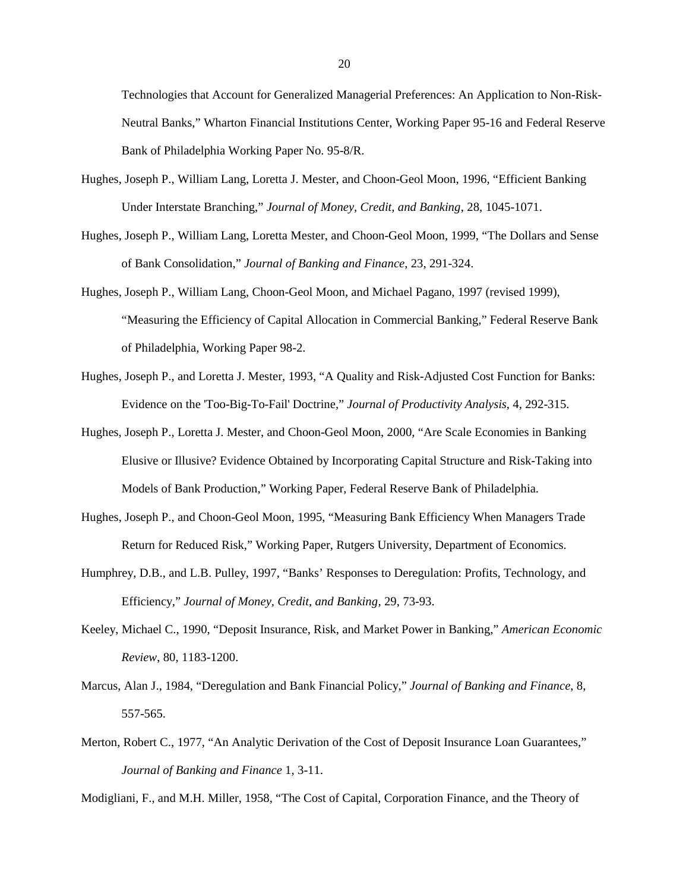Technologies that Account for Generalized Managerial Preferences: An Application to Non-Risk-Neutral Banks," Wharton Financial Institutions Center, Working Paper 95-16 and Federal Reserve Bank of Philadelphia Working Paper No. 95-8/R.

- Hughes, Joseph P., William Lang, Loretta J. Mester, and Choon-Geol Moon, 1996, "Efficient Banking Under Interstate Branching," *Journal of Money, Credit, and Banking*, 28, 1045-1071.
- Hughes, Joseph P., William Lang, Loretta Mester, and Choon-Geol Moon, 1999, "The Dollars and Sense of Bank Consolidation," *Journal of Banking and Finance*, 23, 291-324.
- Hughes, Joseph P., William Lang, Choon-Geol Moon, and Michael Pagano, 1997 (revised 1999), "Measuring the Efficiency of Capital Allocation in Commercial Banking," Federal Reserve Bank of Philadelphia, Working Paper 98-2.
- Hughes, Joseph P., and Loretta J. Mester, 1993, "A Quality and Risk-Adjusted Cost Function for Banks: Evidence on the 'Too-Big-To-Fail' Doctrine," *Journal of Productivity Analysis*, 4, 292-315.
- Hughes, Joseph P., Loretta J. Mester, and Choon-Geol Moon, 2000, "Are Scale Economies in Banking Elusive or Illusive? Evidence Obtained by Incorporating Capital Structure and Risk-Taking into Models of Bank Production," Working Paper, Federal Reserve Bank of Philadelphia.
- Hughes, Joseph P., and Choon-Geol Moon, 1995, "Measuring Bank Efficiency When Managers Trade Return for Reduced Risk," Working Paper, Rutgers University, Department of Economics.
- Humphrey, D.B., and L.B. Pulley, 1997, "Banks' Responses to Deregulation: Profits, Technology, and Efficiency," *Journal of Money, Credit, and Banking*, 29, 73-93.
- Keeley, Michael C., 1990, "Deposit Insurance, Risk, and Market Power in Banking," *American Economic Review*, 80, 1183-1200.
- Marcus, Alan J., 1984, "Deregulation and Bank Financial Policy," *Journal of Banking and Finance*, 8, 557-565.
- Merton, Robert C., 1977, "An Analytic Derivation of the Cost of Deposit Insurance Loan Guarantees," *Journal of Banking and Finance* 1, 3-11.

Modigliani, F., and M.H. Miller, 1958, "The Cost of Capital, Corporation Finance, and the Theory of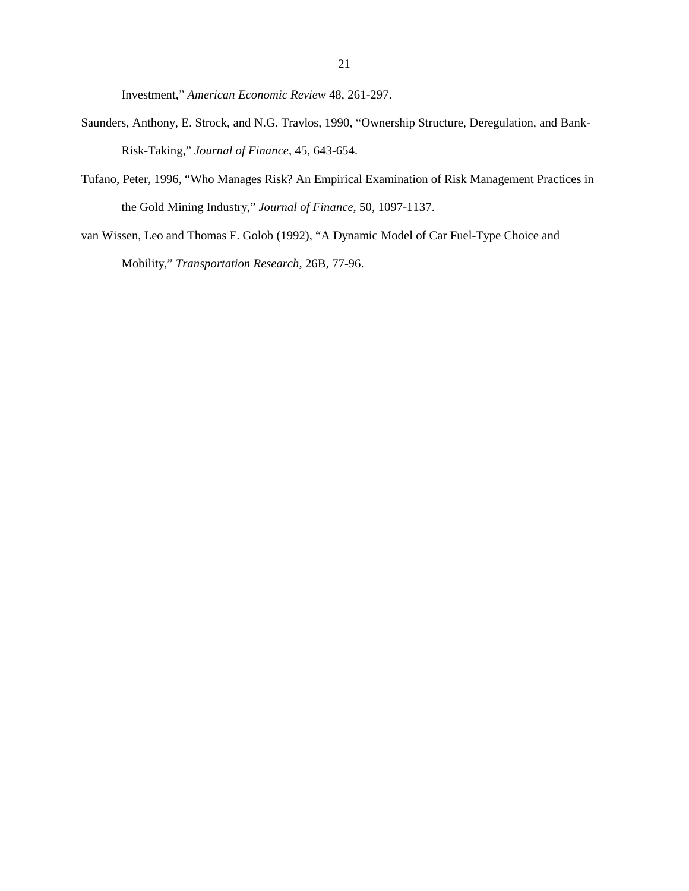Investment," *American Economic Review* 48, 261-297.

- Saunders, Anthony, E. Strock, and N.G. Travlos, 1990, "Ownership Structure, Deregulation, and Bank-Risk-Taking," *Journal of Finance*, 45, 643-654.
- Tufano, Peter, 1996, "Who Manages Risk? An Empirical Examination of Risk Management Practices in the Gold Mining Industry," *Journal of Finance*, 50, 1097-1137.
- van Wissen, Leo and Thomas F. Golob (1992), "A Dynamic Model of Car Fuel-Type Choice and Mobility," *Transportation Research*, 26B, 77-96.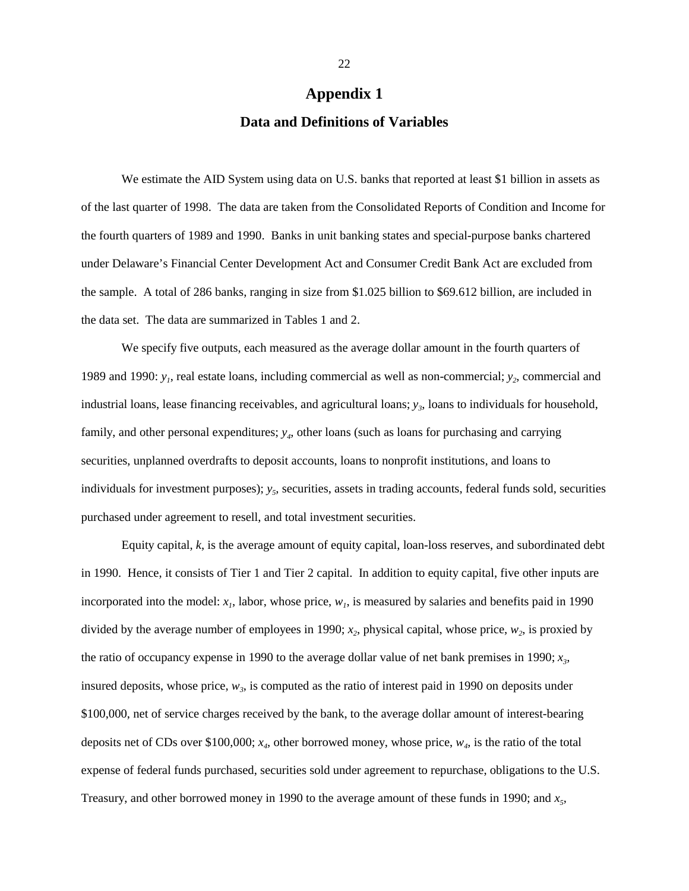#### **Appendix 1**

#### **Data and Definitions of Variables**

We estimate the AID System using data on U.S. banks that reported at least \$1 billion in assets as of the last quarter of 1998. The data are taken from the Consolidated Reports of Condition and Income for the fourth quarters of 1989 and 1990. Banks in unit banking states and special-purpose banks chartered under Delaware's Financial Center Development Act and Consumer Credit Bank Act are excluded from the sample. A total of 286 banks, ranging in size from \$1.025 billion to \$69.612 billion, are included in the data set. The data are summarized in Tables 1 and 2.

We specify five outputs, each measured as the average dollar amount in the fourth quarters of 1989 and 1990:  $y_1$ , real estate loans, including commercial as well as non-commercial;  $y_2$ , commercial and industrial loans, lease financing receivables, and agricultural loans;  $y_3$ , loans to individuals for household, family, and other personal expenditures;  $y_4$ , other loans (such as loans for purchasing and carrying securities, unplanned overdrafts to deposit accounts, loans to nonprofit institutions, and loans to individuals for investment purposes);  $y_5$ , securities, assets in trading accounts, federal funds sold, securities purchased under agreement to resell, and total investment securities.

Equity capital, *k*, is the average amount of equity capital, loan-loss reserves, and subordinated debt in 1990. Hence, it consists of Tier 1 and Tier 2 capital. In addition to equity capital, five other inputs are incorporated into the model:  $x_i$ , labor, whose price,  $w_i$ , is measured by salaries and benefits paid in 1990 divided by the average number of employees in 1990;  $x_2$ , physical capital, whose price,  $w_2$ , is proxied by the ratio of occupancy expense in 1990 to the average dollar value of net bank premises in 1990;  $x<sub>3</sub>$ , insured deposits, whose price,  $w_3$ , is computed as the ratio of interest paid in 1990 on deposits under \$100,000, net of service charges received by the bank, to the average dollar amount of interest-bearing deposits net of CDs over \$100,000;  $x_4$ , other borrowed money, whose price,  $w_4$ , is the ratio of the total expense of federal funds purchased, securities sold under agreement to repurchase, obligations to the U.S. Treasury, and other borrowed money in 1990 to the average amount of these funds in 1990; and  $x<sub>5</sub>$ ,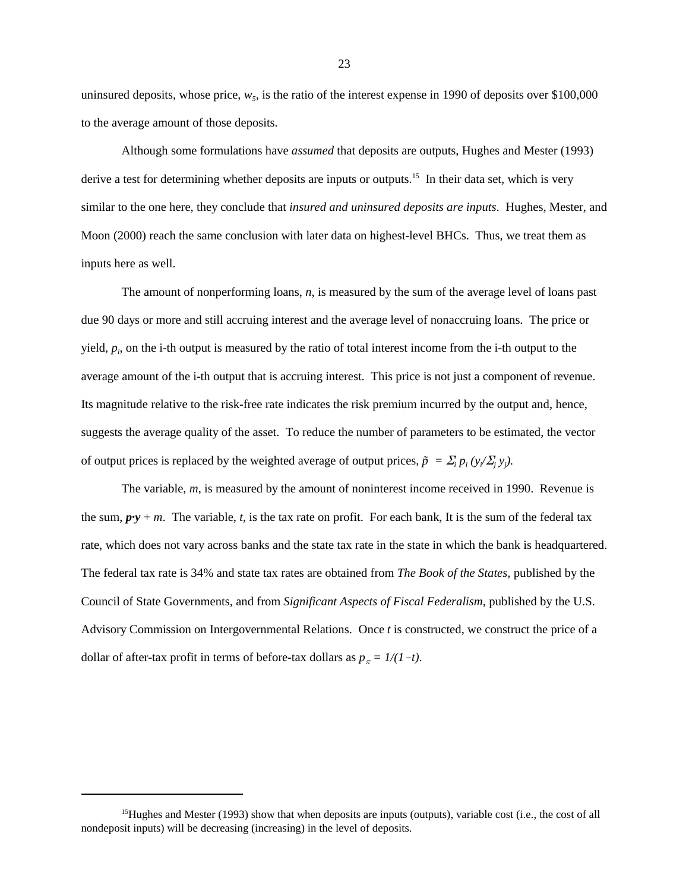uninsured deposits, whose price,  $w_5$ , is the ratio of the interest expense in 1990 of deposits over \$100,000 to the average amount of those deposits.

Although some formulations have *assumed* that deposits are outputs, Hughes and Mester (1993) derive a test for determining whether deposits are inputs or outputs.<sup>15</sup> In their data set, which is very similar to the one here, they conclude that *insured and uninsured deposits are inputs*. Hughes, Mester, and Moon (2000) reach the same conclusion with later data on highest-level BHCs. Thus, we treat them as inputs here as well.

The amount of nonperforming loans, *n*, is measured by the sum of the average level of loans past due 90 days or more and still accruing interest and the average level of nonaccruing loans. The price or yield, *pi* , on the i-th output is measured by the ratio of total interest income from the i-th output to the average amount of the i-th output that is accruing interest. This price is not just a component of revenue. Its magnitude relative to the risk-free rate indicates the risk premium incurred by the output and, hence, suggests the average quality of the asset. To reduce the number of parameters to be estimated, the vector of output prices is replaced by the weighted average of output prices,  $\tilde{p} = \sum_i p_i (y / \sum_j y_j)$ .

The variable, *m*, is measured by the amount of noninterest income received in 1990. Revenue is the sum,  $p \cdot y + m$ . The variable, *t*, is the tax rate on profit. For each bank, It is the sum of the federal tax rate, which does not vary across banks and the state tax rate in the state in which the bank is headquartered. The federal tax rate is 34% and state tax rates are obtained from *The Book of the States*, published by the Council of State Governments, and from *Significant Aspects of Fiscal Federalism*, published by the U.S. Advisory Commission on Intergovernmental Relations. Once *t* is constructed, we construct the price of a dollar of after-tax profit in terms of before-tax dollars as  $p_{\pi} = 1/(1-t)$ .

<sup>&</sup>lt;sup>15</sup>Hughes and Mester (1993) show that when deposits are inputs (outputs), variable cost (i.e., the cost of all nondeposit inputs) will be decreasing (increasing) in the level of deposits.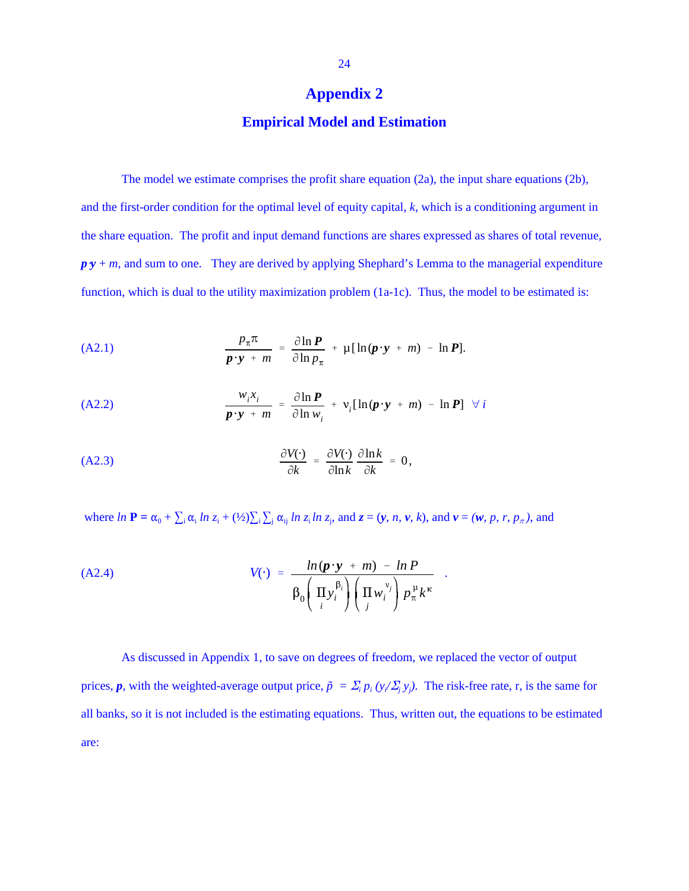#### **Appendix 2**

#### **Empirical Model and Estimation**

The model we estimate comprises the profit share equation (2a), the input share equations (2b), and the first-order condition for the optimal level of equity capital, *k*, which is a conditioning argument in the share equation. The profit and input demand functions are shares expressed as shares of total revenue,  $p y + m$ , and sum to one. They are derived by applying Shephard's Lemma to the managerial expenditure function, which is dual to the utility maximization problem (1a-1c). Thus, the model to be estimated is:

(A2.1) 
$$
\frac{p_{\pi}\pi}{p \cdot y + m} = \frac{\partial \ln P}{\partial \ln p_{\pi}} + \mu [\ln(p \cdot y + m) - \ln P].
$$

(A2.2) 
$$
\frac{w_i x_i}{p \cdot y + m} = \frac{\partial \ln P}{\partial \ln w_i} + v_i [\ln(p \cdot y + m) - \ln P] \quad \forall i
$$

(A2.3)

\n
$$
\frac{\partial V(\cdot)}{\partial k} = \frac{\partial V(\cdot)}{\partial \ln k} \frac{\partial \ln k}{\partial k} = 0,
$$

where  $\ln \mathbf{P} = \alpha_0 + \sum_i \alpha_i \ln z_i + (\frac{1}{2}) \sum_i \sum_j \alpha_{ij} \ln z_i \ln z_j$ , and  $z = (y, n, v, k)$ , and  $v = (w, p, r, p_\pi)$ , and

(A2.4) 
$$
V(\cdot) = \frac{\ln(\mathbf{p} \cdot \mathbf{y} + m) - \ln P}{\beta_0 \left( \prod_i y_i^{\beta_i} \right) \left( \prod_j w_i^{\nu_j} \right) p_{\pi}^{\mu} k^{\kappa}}
$$

As discussed in Appendix 1, to save on degrees of freedom, we replaced the vector of output prices, *p*, with the weighted-average output price,  $\tilde{p} = \sum_i p_i (y_i / \sum_j y_j)$ . The risk-free rate, r, is the same for all banks, so it is not included is the estimating equations. Thus, written out, the equations to be estimated are: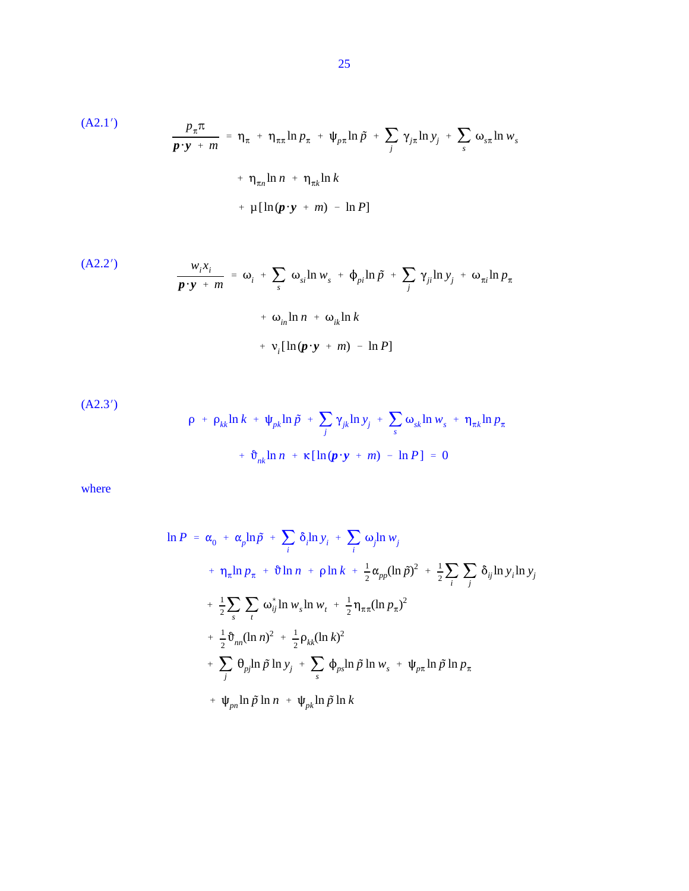(A2.1')  
\n
$$
\frac{p_{\pi}\pi}{p \cdot y + m} = \eta_{\pi} + \eta_{\pi\pi}\ln p_{\pi} + \psi_{p\pi}\ln \tilde{p} + \sum_{j} \gamma_{j\pi}\ln y_{j} + \sum_{s} \omega_{s\pi}\ln w_{s}
$$
\n
$$
+ \eta_{\pi n}\ln n + \eta_{\pi k}\ln k
$$
\n
$$
+ \mu[\ln(p \cdot y + m) - \ln P]
$$

(A2.2')  
\n
$$
\frac{w_i x_i}{p \cdot y + m} = \omega_i + \sum_s \omega_{si} \ln w_s + \phi_{pi} \ln \tilde{p} + \sum_j \gamma_{ji} \ln y_j + \omega_{\pi i} \ln p_{\pi}
$$
\n
$$
+ \omega_{in} \ln n + \omega_{ik} \ln k
$$
\n
$$
+ \gamma_i [\ln (p \cdot y + m) - \ln P]
$$

(A2.3')  
\n
$$
\rho + \rho_{kk} \ln k + \psi_{pk} \ln \tilde{p} + \sum_{j} \gamma_{jk} \ln y_{j} + \sum_{s} \omega_{sk} \ln w_{s} + \eta_{\pi k} \ln p_{\pi}
$$
\n
$$
+ \vartheta_{nk} \ln n + \kappa [\ln(\pmb{p} \cdot \pmb{y} + \pmb{m}) - \ln P] = 0
$$

where

$$
\ln P = \alpha_0 + \alpha_p \ln \tilde{p} + \sum_i \delta_i \ln y_i + \sum_i \omega_j \ln w_j
$$
  
+  $\eta_{\pi} \ln p_{\pi} + \vartheta \ln n + \rho \ln k + \frac{1}{2} \alpha_{pp} (\ln \tilde{p})^2 + \frac{1}{2} \sum_i \sum_j \delta_{ij} \ln y_i \ln y_j$   
+  $\frac{1}{2} \sum_s \sum_t \omega_{ij}^* \ln w_s \ln w_t + \frac{1}{2} \eta_{\pi \pi} (\ln p_{\pi})^2$   
+  $\frac{1}{2} \vartheta_{nn} (\ln n)^2 + \frac{1}{2} \rho_{kk} (\ln k)^2$   
+  $\sum_j \theta_{pj} \ln \tilde{p} \ln y_j + \sum_s \varphi_{ps} \ln \tilde{p} \ln w_s + \psi_{pn} \ln \tilde{p} \ln p_{\pi}$   
+  $\psi_{pn} \ln \tilde{p} \ln n + \psi_{pk} \ln \tilde{p} \ln k$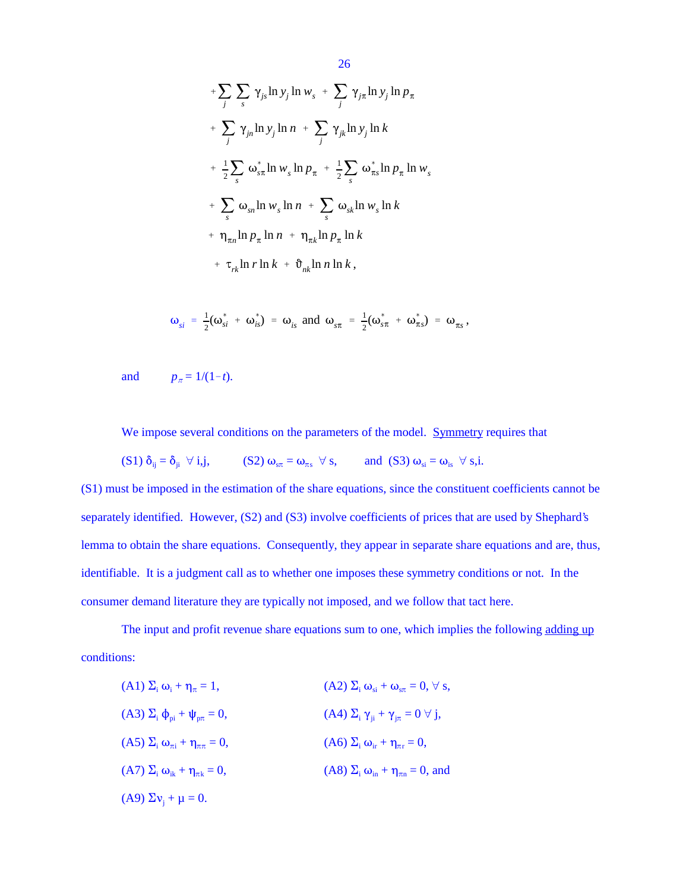+
$$
\sum_{j} \sum_{s} \gamma_{js} \ln y_{j} \ln w_{s} + \sum_{j} \gamma_{jn} \ln y_{j} \ln p_{\pi}
$$
  
+
$$
\sum_{j} \gamma_{jn} \ln y_{j} \ln n + \sum_{j} \gamma_{jk} \ln y_{j} \ln k
$$
  
+
$$
\frac{1}{2} \sum_{s} \omega_{s\pi}^{*} \ln w_{s} \ln p_{\pi} + \frac{1}{2} \sum_{s} \omega_{\pi s}^{*} \ln p_{\pi} \ln w_{s}
$$
  
+
$$
\sum_{s} \omega_{sn} \ln w_{s} \ln n + \sum_{s} \omega_{sk} \ln w_{s} \ln k
$$
  
+
$$
\eta_{\pi n} \ln p_{\pi} \ln n + \eta_{\pi k} \ln p_{\pi} \ln k
$$
  
+
$$
\tau_{rk} \ln r \ln k + \vartheta_{nk} \ln n \ln k,
$$

$$
\omega_{si} = \frac{1}{2}(\omega_{si}^* + \omega_{is}^*) = \omega_{is} \text{ and } \omega_{s\pi} = \frac{1}{2}(\omega_{s\pi}^* + \omega_{\pi s}^*) = \omega_{\pi s},
$$

and  $p_{\pi} = 1/(1-t)$ .

We impose several conditions on the parameters of the model. Symmetry requires that

$$
(S1) \delta_{ij} = \delta_{ji} \ \forall \ i,j, \qquad (S2) \ \omega_{s\pi} = \omega_{\pi s} \ \forall \ s, \qquad \text{and} \ (S3) \ \omega_{si} = \omega_{is} \ \forall \ s,i.
$$

(S1) must be imposed in the estimation of the share equations, since the constituent coefficients cannot be separately identified. However, (S2) and (S3) involve coefficients of prices that are used by Shephard's lemma to obtain the share equations. Consequently, they appear in separate share equations and are, thus, identifiable. It is a judgment call as to whether one imposes these symmetry conditions or not. In the consumer demand literature they are typically not imposed, and we follow that tact here.

The input and profit revenue share equations sum to one, which implies the following adding up conditions:

| $(A1)\Sigma_i\omega_i + \eta_{\pi} = 1,$              | (A2) $\Sigma_i \omega_{si} + \omega_{s\pi} = 0$ , $\forall$ s, |
|-------------------------------------------------------|----------------------------------------------------------------|
| $(A3)$ $\Sigma_i$ $\phi_{pi}$ + $\psi_{p\pi}$ = 0,    | (A4) $\Sigma_i \gamma_{ji} + \gamma_{j\pi} = 0 \ \forall j$ ,  |
| $(A5)\Sigma_i\omega_{\pi i} + \eta_{\pi\pi} = 0,$     | $(A6)$ $\Sigma_i$ $\omega_{ir}$ + $\eta_{\pi r}$ = 0,          |
| $(A7)$ $\Sigma_i$ $\omega_{ik}$ + $\eta_{\pi k}$ = 0, | (A8) $\Sigma_i$ $\omega_{in}$ + $\eta_{\pi n}$ = 0, and        |
| (A9) $\Sigma v_i + \mu = 0$ .                         |                                                                |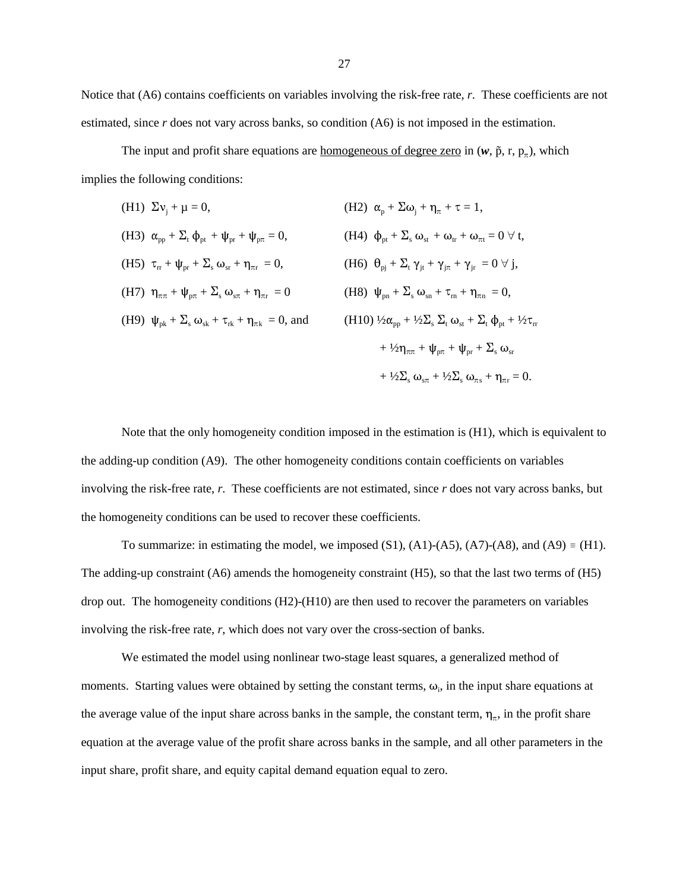Notice that (A6) contains coefficients on variables involving the risk-free rate, *r*. These coefficients are not estimated, since *r* does not vary across banks, so condition (A6) is not imposed in the estimation.

The input and profit share equations are <u>homogeneous of degree zero</u> in  $(w, \tilde{p}, r, p<sub>n</sub>)$ , which implies the following conditions:

(H1) 
$$
\Sigma v_j + \mu = 0
$$
,  
\n(H2)  $\alpha_p + \Sigma \omega_j + \eta_{\pi} + \tau = 1$ ,  
\n(H3)  $\alpha_{pp} + \Sigma_t \phi_{pt} + \psi_{pr} + \psi_{p\pi} = 0$ ,  
\n(H4)  $\phi_{pt} + \Sigma_s \omega_{st} + \omega_{tr} + \omega_{\pi t} = 0 \forall t$ ,  
\n(H5)  $\tau_{rr} + \psi_{pr} + \Sigma_s \omega_{sr} + \eta_{\pi r} = 0$ ,  
\n(H6)  $\theta_{pj} + \Sigma_t \gamma_{jt} + \gamma_{j\pi} + \gamma_{jr} = 0 \forall j$ ,  
\n(H7)  $\eta_{\pi\pi} + \psi_{p\pi} + \Sigma_s \omega_{s\pi} + \eta_{\pi r} = 0$   
\n(H8)  $\psi_{pn} + \Sigma_s \omega_{sn} + \tau_m + \eta_{\pi n} = 0$ ,  
\n(H9)  $\psi_{pk} + \Sigma_s \omega_{sk} + \tau_{rk} + \eta_{\pi k} = 0$ , and  
\n(H10)  $\frac{1}{2}\alpha_{pp} + \frac{1}{2}\Sigma_s \Sigma_t \omega_{st} + \Sigma_t \phi_{pt} + \frac{1}{2}\tau_{rr}$   
\n $+ \frac{1}{2}\eta_{\pi\pi} + \psi_{pr} + \psi_{pr} + \Sigma_s \omega_{sr}$   
\n $+ \frac{1}{2}\Sigma_s \omega_{ss} + \gamma_{\pi r} = 0$ .

Note that the only homogeneity condition imposed in the estimation is (H1), which is equivalent to the adding-up condition (A9). The other homogeneity conditions contain coefficients on variables involving the risk-free rate, *r*. These coefficients are not estimated, since *r* does not vary across banks, but the homogeneity conditions can be used to recover these coefficients.

To summarize: in estimating the model, we imposed  $(S1)$ ,  $(A1)$ - $(A5)$ ,  $(A7)$ - $(A8)$ , and  $(A9) \equiv (H1)$ . The adding-up constraint (A6) amends the homogeneity constraint (H5), so that the last two terms of (H5) drop out. The homogeneity conditions (H2)-(H10) are then used to recover the parameters on variables involving the risk-free rate, *r*, which does not vary over the cross-section of banks.

We estimated the model using nonlinear two-stage least squares, a generalized method of moments. Starting values were obtained by setting the constant terms,  $\omega_i$ , in the input share equations at the average value of the input share across banks in the sample, the constant term,  $\eta_{\pi}$ , in the profit share equation at the average value of the profit share across banks in the sample, and all other parameters in the input share, profit share, and equity capital demand equation equal to zero.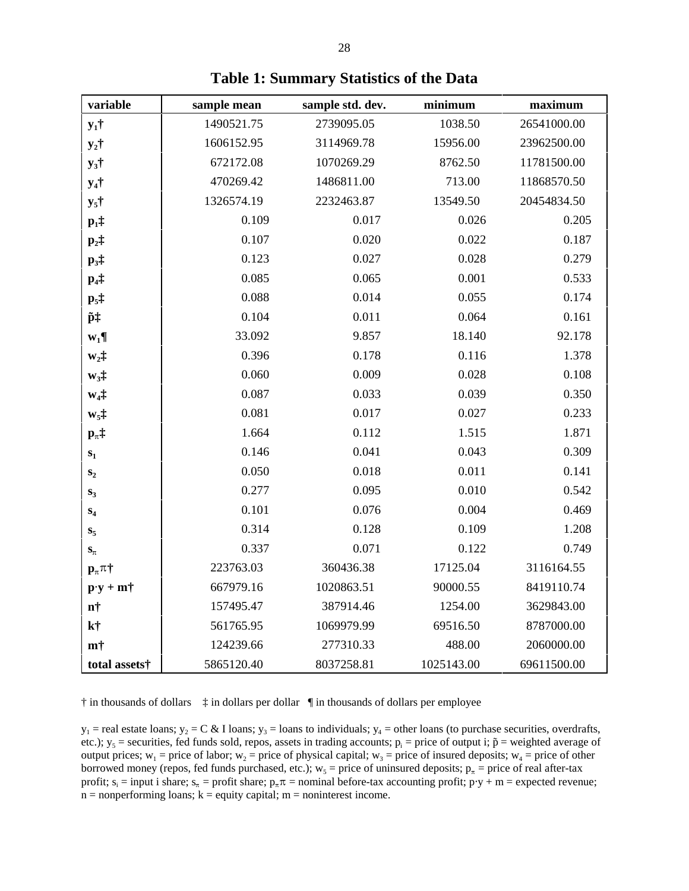| variable                                           | sample mean | sample std. dev. | minimum    | maximum     |
|----------------------------------------------------|-------------|------------------|------------|-------------|
| $y_1$ †                                            | 1490521.75  | 2739095.05       | 1038.50    | 26541000.00 |
| $y_2$ †                                            | 1606152.95  | 3114969.78       | 15956.00   | 23962500.00 |
| $y_3$ †                                            | 672172.08   | 1070269.29       | 8762.50    | 11781500.00 |
| $y_4$ †                                            | 470269.42   | 1486811.00       | 713.00     | 11868570.50 |
| $y_5$ †                                            | 1326574.19  | 2232463.87       | 13549.50   | 20454834.50 |
| $p_1$ ‡                                            | 0.109       | 0.017            | 0.026      | 0.205       |
| $\mathbf{p}_2$ ‡                                   | 0.107       | 0.020            | 0.022      | 0.187       |
| $\mathbf{p}_3$ ‡                                   | 0.123       | 0.027            | 0.028      | 0.279       |
| $p_4$ ‡                                            | 0.085       | 0.065            | 0.001      | 0.533       |
| $\mathbf{p}_5$ ‡                                   | 0.088       | 0.014            | 0.055      | 0.174       |
| p‡                                                 | 0.104       | 0.011            | 0.064      | 0.161       |
| $W_1\P$                                            | 33.092      | 9.857            | 18.140     | 92.178      |
| $w_2$ $\ddagger$                                   | 0.396       | 0.178            | 0.116      | 1.378       |
| $W_3$ ‡                                            | 0.060       | 0.009            | 0.028      | 0.108       |
| $W_4$ :                                            | 0.087       | 0.033            | 0.039      | 0.350       |
| $w_5$ ‡                                            | 0.081       | 0.017            | 0.027      | 0.233       |
| $\mathbf{p}_{\pi}\ddagger$                         | 1.664       | 0.112            | 1.515      | 1.871       |
| $\mathbf{s}_1$                                     | 0.146       | 0.041            | 0.043      | 0.309       |
| $\mathbf{S}_2$                                     | 0.050       | 0.018            | 0.011      | 0.141       |
| $S_3$                                              | 0.277       | 0.095            | 0.010      | 0.542       |
| $\mathbf{S}_4$                                     | 0.101       | 0.076            | 0.004      | 0.469       |
| $\mathbf{s}_5$                                     | 0.314       | 0.128            | 0.109      | 1.208       |
| $\mathbf{S}_{\pi}$                                 | 0.337       | 0.071            | 0.122      | 0.749       |
| $\mathbf{p}_{\pi}$ $\pi$ †                         | 223763.03   | 360436.38        | 17125.04   | 3116164.55  |
| $\mathbf{p} \cdot \mathbf{y} + \mathbf{m} \dagger$ | 667979.16   | 1020863.51       | 90000.55   | 8419110.74  |
| $\mathbf{n}^+$                                     | 157495.47   | 387914.46        | 1254.00    | 3629843.00  |
| kt                                                 | 561765.95   | 1069979.99       | 69516.50   | 8787000.00  |
| m†                                                 | 124239.66   | 277310.33        | 488.00     | 2060000.00  |
| total assets†                                      | 5865120.40  | 8037258.81       | 1025143.00 | 69611500.00 |

**Table 1: Summary Statistics of the Data**

† in thousands of dollars ‡ in dollars per dollar ¶ in thousands of dollars per employee

 $y_1$  = real estate loans;  $y_2$  = C & I loans;  $y_3$  = loans to individuals;  $y_4$  = other loans (to purchase securities, overdrafts, etc.);  $y_5$  = securities, fed funds sold, repos, assets in trading accounts;  $p_i$  = price of output i;  $\tilde{p}$  = weighted average of output prices;  $w_1$  = price of labor;  $w_2$  = price of physical capital;  $w_3$  = price of insured deposits;  $w_4$  = price of other borrowed money (repos, fed funds purchased, etc.);  $w_5$  = price of uninsured deposits;  $p_\pi$  = price of real after-tax profit;  $s_i$  = input i share;  $s_m$  = profit share;  $p_m \pi$  = nominal before-tax accounting profit;  $p \cdot y + m$  = expected revenue;  $n =$  nonperforming loans;  $k =$  equity capital;  $m =$  noninterest income.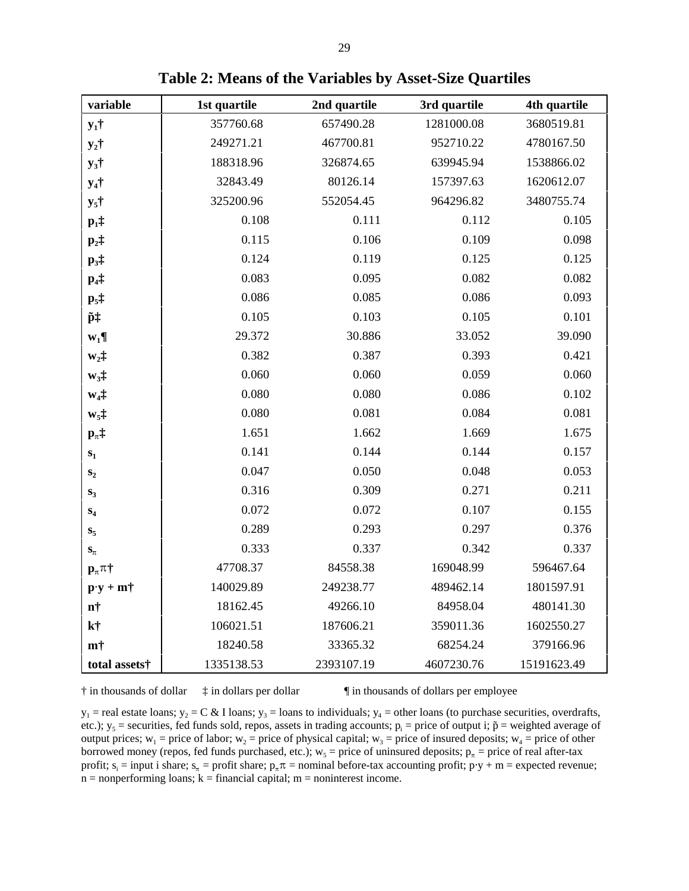| variable                                        | 1st quartile | 2nd quartile | 3rd quartile | 4th quartile |  |
|-------------------------------------------------|--------------|--------------|--------------|--------------|--|
| $y_1$ †                                         | 357760.68    | 657490.28    | 1281000.08   | 3680519.81   |  |
| $y_2$ †                                         | 249271.21    | 467700.81    | 952710.22    | 4780167.50   |  |
| $y_3$ †                                         | 188318.96    | 326874.65    | 639945.94    | 1538866.02   |  |
| $y_4$ †                                         | 32843.49     | 80126.14     | 157397.63    | 1620612.07   |  |
| $y_5$ †                                         | 325200.96    | 552054.45    | 964296.82    | 3480755.74   |  |
| $p_1$ ‡                                         | 0.108        | 0.111        | 0.112        | 0.105        |  |
| $\mathbf{p}_2$ ‡                                | 0.115        | 0.106        | 0.109        | 0.098        |  |
| $\mathbf{p}_3$ ‡                                | 0.124        | 0.119        | 0.125        | 0.125        |  |
| $p_4$ ‡                                         | 0.083        | 0.095        | 0.082        | 0.082        |  |
| $\mathbf{p}_5$ ‡                                | 0.086        | 0.085        | 0.086        | 0.093        |  |
| p‡                                              | 0.105        | 0.103        | 0.105        | 0.101        |  |
| $W_1\P$                                         | 29.372       | 30.886       | 33.052       | 39.090       |  |
| $w_2$ ‡                                         | 0.382        | 0.387        | 0.393        | 0.421        |  |
| $W_3\ddagger$                                   | 0.060        | 0.060        | 0.059        | 0.060        |  |
| $W_4\ddagger$                                   | 0.080        | 0.080        | 0.086        | 0.102        |  |
| $W_5$ ‡                                         | 0.080        | 0.081        | 0.084        | 0.081        |  |
| $\mathbf{p}_{\pi}$ $\ddagger$                   | 1.651        | 1.662        | 1.669        | 1.675        |  |
| $\mathbf{s}_1$                                  | 0.141        | 0.144        | 0.144        | 0.157        |  |
| $\mathbf{S}_2$                                  | 0.047        | 0.050        | 0.048        | 0.053        |  |
| $S_3$                                           | 0.316        | 0.309        | 0.271        | 0.211        |  |
| $S_4$                                           | 0.072        | 0.072        | 0.107        | 0.155        |  |
| $S_5$                                           | 0.289        | 0.293        | 0.297        | 0.376        |  |
| $\mathbf{S}_{\pi}$                              | 0.333        | 0.337        | 0.342        | 0.337        |  |
| $\mathbf{p}_{\pi}$ $\pi$ †                      | 47708.37     | 84558.38     | 169048.99    | 596467.64    |  |
| $\mathbf{p}\cdot\mathbf{y} + \mathbf{m}\dagger$ | 140029.89    | 249238.77    | 489462.14    | 1801597.91   |  |
| n†                                              | 18162.45     | 49266.10     | 84958.04     | 480141.30    |  |
| k <sup>†</sup>                                  | 106021.51    | 187606.21    | 359011.36    | 1602550.27   |  |
| m†                                              | 18240.58     | 33365.32     | 68254.24     | 379166.96    |  |
| total assets†                                   | 1335138.53   | 2393107.19   | 4607230.76   | 15191623.49  |  |

**Table 2: Means of the Variables by Asset-Size Quartiles**

† in thousands of dollar ‡ in dollars per dollar ¶ in thousands of dollars per employee

 $y_1$  = real estate loans;  $y_2$  = C & I loans;  $y_3$  = loans to individuals;  $y_4$  = other loans (to purchase securities, overdrafts, etc.);  $y_5$  = securities, fed funds sold, repos, assets in trading accounts;  $p_i$  = price of output i;  $\tilde{p}$  = weighted average of output prices;  $w_1$  = price of labor;  $w_2$  = price of physical capital;  $w_3$  = price of insured deposits;  $w_4$  = price of other borrowed money (repos, fed funds purchased, etc.);  $w_5$  = price of uninsured deposits;  $p_\pi$  = price of real after-tax profit;  $s_i$  = input i share;  $s_n$  = profit share;  $p_n \pi$  = nominal before-tax accounting profit;  $p \cdot y + m$  = expected revenue;  $n = nonperforming loans; k = financial capital; m = noninterest income.$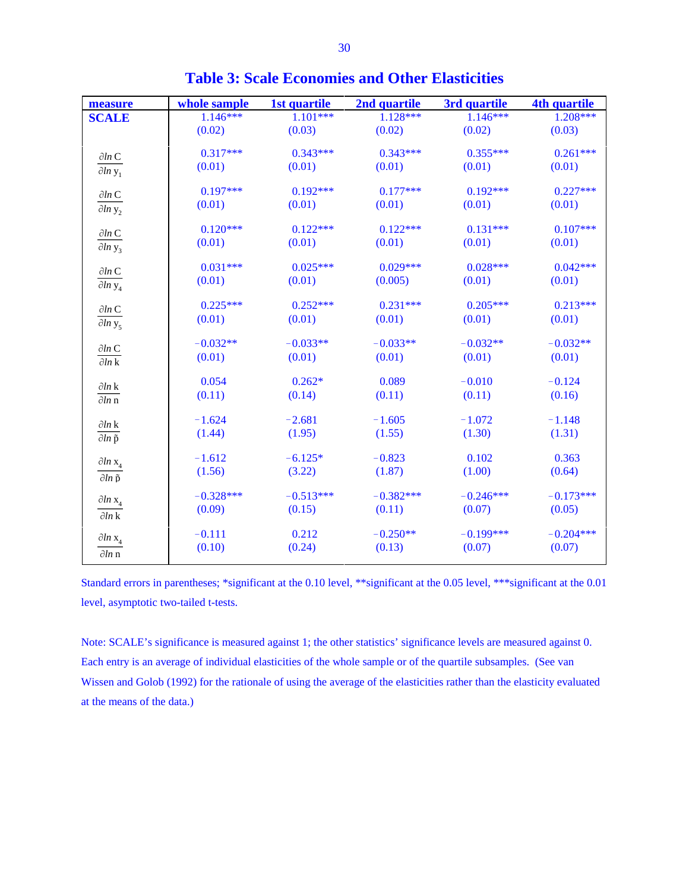| measure                                        | whole sample | 1st quartile | 2nd quartile | 3rd quartile | 4th quartile |
|------------------------------------------------|--------------|--------------|--------------|--------------|--------------|
| <b>SCALE</b>                                   | $1.146***$   | $1.101***$   | $1.128***$   | $1.146***$   | $1.208***$   |
|                                                | (0.02)       | (0.03)       | (0.02)       | (0.02)       | (0.03)       |
|                                                | $0.317***$   | $0.343***$   | $0.343***$   | $0.355***$   | $0.261***$   |
| $\partial ln$ C                                | (0.01)       | (0.01)       | (0.01)       | (0.01)       | (0.01)       |
| $\partial ln y_1$                              |              |              |              |              |              |
| $\partial ln$ C                                | $0.197***$   | $0.192***$   | $0.177***$   | $0.192***$   | $0.227***$   |
| $\partial ln y_2$                              | (0.01)       | (0.01)       | (0.01)       | (0.01)       | (0.01)       |
| $\partial ln C$                                | $0.120***$   | $0.122***$   | $0.122***$   | $0.131***$   | $0.107***$   |
| $\partial ln y_3$                              | (0.01)       | (0.01)       | (0.01)       | (0.01)       | (0.01)       |
|                                                | $0.031***$   | $0.025***$   | $0.029***$   | $0.028***$   | $0.042***$   |
| $\partial ln$ C                                | (0.01)       | (0.01)       | (0.005)      | (0.01)       | (0.01)       |
| $\partial ln y_4$                              |              |              |              |              |              |
| $\partial ln$ C                                | $0.225***$   | $0.252***$   | $0.231***$   | $0.205***$   | $0.213***$   |
| $\partial ln y_5$                              | (0.01)       | (0.01)       | (0.01)       | (0.01)       | (0.01)       |
| $\partial ln$ C                                | $-0.032**$   | $-0.033**$   | $-0.033**$   | $-0.032**$   | $-0.032**$   |
| $\overline{\partial ln \mathbf{k}}$            | (0.01)       | (0.01)       | (0.01)       | (0.01)       | (0.01)       |
|                                                | 0.054        | $0.262*$     | 0.089        | $-0.010$     | $-0.124$     |
| $\partial ln k$<br>$\overline{\partial \ln n}$ | (0.11)       | (0.14)       | (0.11)       | (0.11)       | (0.16)       |
|                                                |              |              |              |              |              |
| $\partial ln$ k                                | $-1.624$     | $-2.681$     | $-1.605$     | $-1.072$     | $-1.148$     |
| $\overline{\partial ln \tilde{p}}$             | (1.44)       | (1.95)       | (1.55)       | (1.30)       | (1.31)       |
|                                                | $-1.612$     | $-6.125*$    | $-0.823$     | 0.102        | 0.363        |
| $\partial \ln x_4$                             | (1.56)       | (3.22)       | (1.87)       | (1.00)       | (0.64)       |
| $\partial ln \tilde{p}$                        |              |              |              |              |              |
| $\partial \ln x_4$                             | $-0.328***$  | $-0.513***$  | $-0.382***$  | $-0.246***$  | $-0.173***$  |
| $\partial ln k$                                | (0.09)       | (0.15)       | (0.11)       | (0.07)       | (0.05)       |
|                                                |              |              |              |              |              |
| $\partial \ln x_4$                             | $-0.111$     | 0.212        | $-0.250**$   | $-0.199***$  | $-0.204***$  |
| $\partial ln n$                                | (0.10)       | (0.24)       | (0.13)       | (0.07)       | (0.07)       |

**Table 3: Scale Economies and Other Elasticities**

Standard errors in parentheses; \*significant at the 0.10 level, \*\*significant at the 0.05 level, \*\*\*significant at the 0.01 level, asymptotic two-tailed t-tests.

Note: SCALE's significance is measured against 1; the other statistics' significance levels are measured against 0. Each entry is an average of individual elasticities of the whole sample or of the quartile subsamples. (See van Wissen and Golob (1992) for the rationale of using the average of the elasticities rather than the elasticity evaluated at the means of the data.)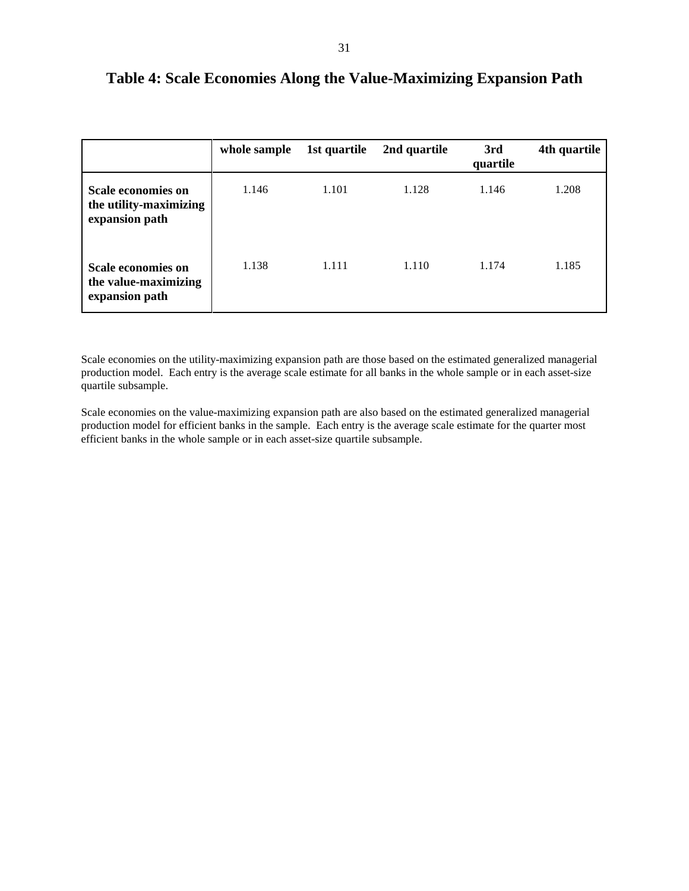|                                                                       | whole sample | 1st quartile | 2nd quartile | 3rd<br>quartile | 4th quartile |
|-----------------------------------------------------------------------|--------------|--------------|--------------|-----------------|--------------|
| <b>Scale economies on</b><br>the utility-maximizing<br>expansion path | 1.146        | 1.101        | 1.128        | 1.146           | 1.208        |
| <b>Scale economies on</b><br>the value-maximizing<br>expansion path   | 1.138        | 1.111        | 1.110        | 1.174           | 1.185        |

#### **Table 4: Scale Economies Along the Value-Maximizing Expansion Path**

Scale economies on the utility-maximizing expansion path are those based on the estimated generalized managerial production model. Each entry is the average scale estimate for all banks in the whole sample or in each asset-size quartile subsample.

Scale economies on the value-maximizing expansion path are also based on the estimated generalized managerial production model for efficient banks in the sample. Each entry is the average scale estimate for the quarter most efficient banks in the whole sample or in each asset-size quartile subsample.